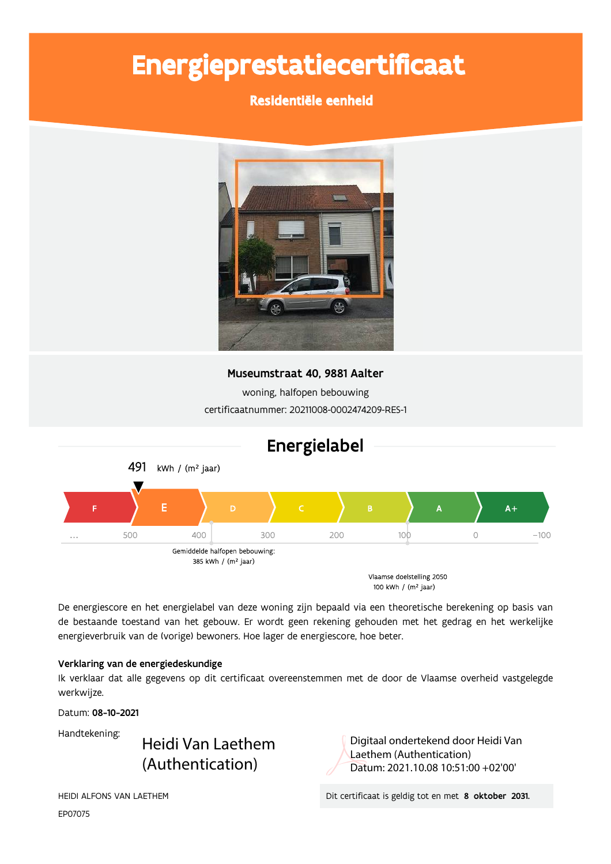# Energieprestatiecertificaat

### Residentiële eenheid



### Museumstraat 40, 9881 Aalter

woning, halfopen bebouwing certificaatnummer: 20211008-0002474209-RES-1



De energiescore en het energielabel van deze woning zijn bepaald via een theoretische berekening op basis van de bestaande toestand van het gebouw. Er wordt geen rekening gehouden met het gedrag en het werkelijke energieverbruik van de (vorige) bewoners. Hoe lager de energiescore, hoe beter.

#### Verklaring van de energiedeskundige

Ik verklaar dat alle gegevens op dit certificaat overeenstemmen met de door de Vlaamse overheid vastgelegde werkwijze.

Datum: 08-10-2021

Handtekening:

Heidi Van Laethem (Authentication)

Digitaal ondertekend door Heidi Van Laethem (Authentication) Datum: 2021.10.08 10:51:00 +02'00'

EP07075

, -"- /0123! ./3 0/ 4, 5 " 
# % 
!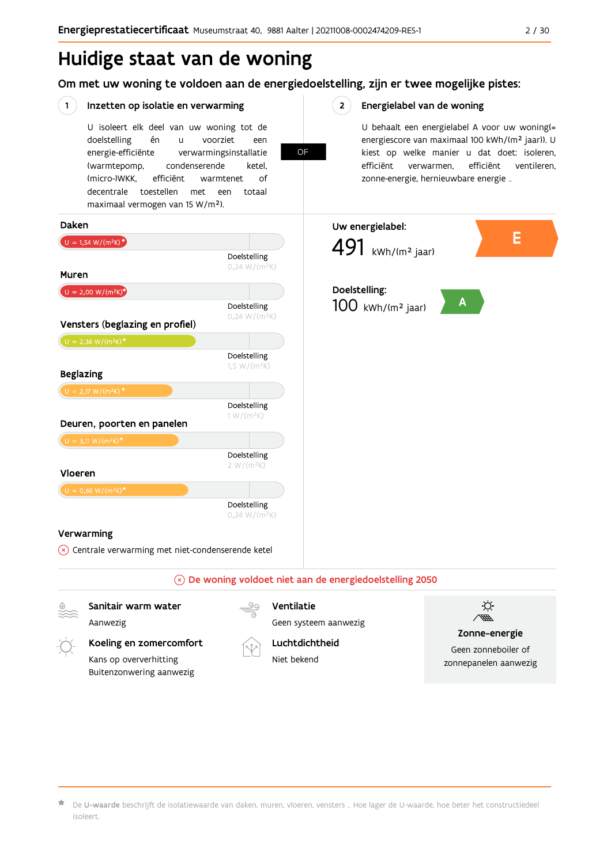# Huidige staat van de woning

Om met uw woning te voldoen aan de energiedoelstelling, zijn er twee mogelijke pistes:

OF

#### $(1)$ Inzetten op isolatie en verwarming

U isoleert elk deel van uw woning tot de voorziet doelstelling én  $\mathbf{u}$ een energie-efficiënte verwarmingsinstallatie (warmtepomp, condenserende ketel. (micro-)WKK. efficiënt warmtenet  $\bigcap_{ }$ decentrale toestellen met een totaal maximaal vermogen van 15 W/m<sup>2</sup>).

 $2^{\circ}$ Energielabel van de woning

> U behaalt een energielabel A voor uw woning(= energiescore van maximaal 100 kWh/(m<sup>2</sup> jaar)). U kiest op welke manier u dat doet: isoleren, efficiënt efficiënt ventileren, verwarmen, zonne-energie, hernieuwbare energie ...



Koeling en zomercomfort Kans op oververhitting Buitenzonwering aanwezig



Geen systeem aanwezig Luchtdichtheid

Niet bekend



Zonne-energie

Geen zonneboiler of zonnepanelen aanwezig

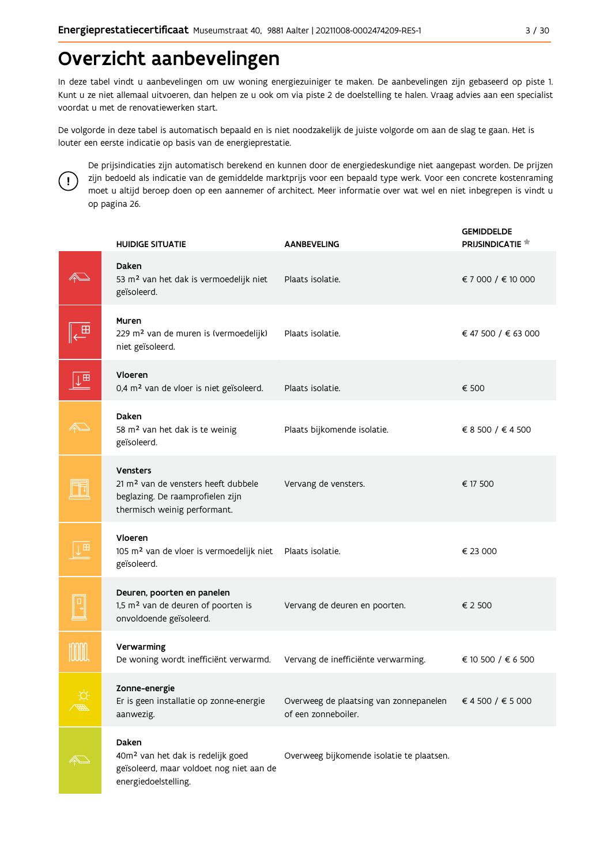# Overzicht aanbevelingen

In deze tabel vindt u aanbevelingen om uw woning energiezuiniger te maken. De aanbevelingen zijn gebaseerd op piste 1. Kunt u ze niet allemaal uitvoeren, dan helpen ze u ook om via piste 2 de doelstelling te halen. Vraag advies aan een specialist voordat u met de renovatiewerken start.

De volgorde in deze tabel is automatisch bepaald en is niet noodzakelijk de juiste volgorde om aan de slag te gaan. Het is louter een eerste indicatie op basis van de energieprestatie.



De prijsindicaties zijn automatisch berekend en kunnen door de energiedeskundige niet aangepast worden. De prijzen zijn bedoeld als indicatie van de gemiddelde marktprijs voor een bepaald type werk. Voor een concrete kostenraming moet u altijd beroep doen op een aannemer of architect. Meer informatie over wat wel en niet inbegrepen is vindt u op pagina 26.

|                         | <b>HUIDIGE SITUATIE</b>                                                                                                                | <b>AANBEVELING</b>                                            | <b>GEMIDDELDE</b><br>PRIJSINDICATIE <sup>*</sup> |
|-------------------------|----------------------------------------------------------------------------------------------------------------------------------------|---------------------------------------------------------------|--------------------------------------------------|
|                         | Daken<br>53 m <sup>2</sup> van het dak is vermoedelijk niet<br>geïsoleerd.                                                             | Plaats isolatie.                                              | € 7 000 / € 10 000                               |
| 田                       | Muren<br>229 m <sup>2</sup> van de muren is (vermoedelijk)<br>niet geïsoleerd.                                                         | Plaats isolatie.                                              | € 47 500 / € 63 000                              |
| $\downarrow^{\boxplus}$ | Vloeren<br>0,4 m <sup>2</sup> van de vloer is niet geïsoleerd.                                                                         | Plaats isolatie.                                              | € 500                                            |
|                         | Daken<br>58 m <sup>2</sup> van het dak is te weinig<br>geïsoleerd.                                                                     | Plaats bijkomende isolatie.                                   | € 8 500 / € 4 500                                |
|                         | <b>Vensters</b><br>21 m <sup>2</sup> van de vensters heeft dubbele<br>beglazing. De raamprofielen zijn<br>thermisch weinig performant. | Vervang de vensters.                                          | € 17 500                                         |
|                         | Vloeren<br>105 m <sup>2</sup> van de vloer is vermoedelijk niet<br>geïsoleerd.                                                         | Plaats isolatie.                                              | € 23 000                                         |
|                         | Deuren, poorten en panelen<br>1,5 m <sup>2</sup> van de deuren of poorten is<br>onvoldoende geïsoleerd.                                | Vervang de deuren en poorten.                                 | € 2 500                                          |
|                         | Verwarming<br>De woning wordt inefficiënt verwarmd.                                                                                    | Vervang de inefficiënte verwarming.                           | € 10 500 / € 6 500                               |
|                         | Zonne-energie<br>Er is geen installatie op zonne-energie<br>aanwezig.                                                                  | Overweeg de plaatsing van zonnepanelen<br>of een zonneboiler. | € 4 500 / € 5 000                                |
|                         | Daken<br>40m <sup>2</sup> van het dak is redelijk goed<br>geïsoleerd, maar voldoet nog niet aan de<br>energiedoelstelling.             | Overweeg bijkomende isolatie te plaatsen.                     |                                                  |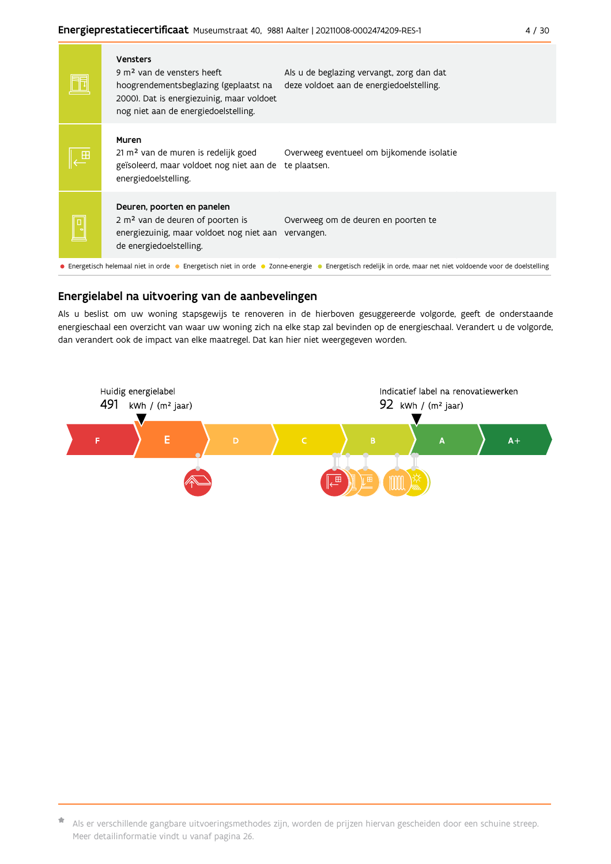|   | <b>Vensters</b><br>9 m <sup>2</sup> van de vensters heeft<br>hoogrendementsbeglazing (geplaatst na<br>2000). Dat is energiezuinig, maar voldoet<br>nog niet aan de energiedoelstelling. | Als u de beglazing vervangt, zorg dan dat<br>deze voldoet aan de energiedoelstelling.                                                                       |
|---|-----------------------------------------------------------------------------------------------------------------------------------------------------------------------------------------|-------------------------------------------------------------------------------------------------------------------------------------------------------------|
|   | Muren<br>21 m <sup>2</sup> van de muren is redelijk goed<br>geïsoleerd, maar voldoet nog niet aan de<br>energiedoelstelling.                                                            | Overweeg eventueel om bijkomende isolatie<br>te plaatsen.                                                                                                   |
| L | Deuren, poorten en panelen<br>2 m <sup>2</sup> van de deuren of poorten is<br>energiezuinig, maar voldoet nog niet aan<br>de energiedoelstelling.                                       | Overweeg om de deuren en poorten te<br>vervangen.                                                                                                           |
|   |                                                                                                                                                                                         | • Energetisch helemaal niet in orde • Energetisch niet in orde • Zonne-energie • Energetisch redelijk in orde, maar net niet voldoende voor de doelstelling |

#### Energielabel na uitvoering van de aanbevelingen

Als u beslist om uw woning stapsgewijs te renoveren in de hierboven gesuggereerde volgorde, geeft de onderstaande energieschaal een overzicht van waar uw woning zich na elke stap zal bevinden op de energieschaal. Verandert u de volgorde, dan verandert ook de impact van elke maatregel. Dat kan hier niet weergegeven worden.



<sup>\*</sup> Als er verschillende gangbare uitvoeringsmethodes zijn, worden de prijzen hiervan gescheiden door een schuine streep. Meer detailinformatie vindt u vanaf pagina 26.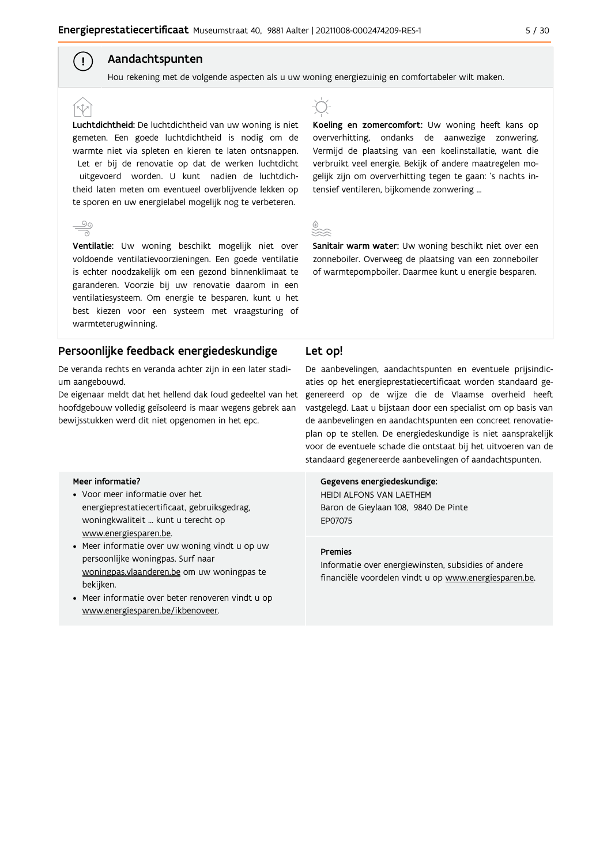#### Aandachtspunten

Hou rekening met de volgende aspecten als u uw woning energiezuinig en comfortabeler wilt maken.

Luchtdichtheid: De luchtdichtheid van uw woning is niet gemeten. Een goede luchtdichtheid is nodig om de warmte niet via spleten en kieren te laten ontsnappen. Let er bij de renovatie op dat de werken luchtdicht uitgevoerd worden. U kunt nadien de luchtdichtheid laten meten om eventueel overblijvende lekken op te sporen en uw energielabel mogelijk nog te verbeteren.

 $\left( \begin{array}{c} 1 \end{array} \right)$ 

Ventilatie: Uw woning beschikt mogelijk niet over voldoende ventilatievoorzieningen. Een goede ventilatie is echter noodzakelijk om een gezond binnenklimaat te garanderen. Voorzie bij uw renovatie daarom in een ventilatiesysteem. Om energie te besparen, kunt u het best kiezen voor een systeem met vraagsturing of warmteterugwinning.

#### Persoonlijke feedback energiedeskundige

De veranda rechts en veranda achter zijn in een later stadium aangebouwd.

De eigenaar meldt dat het hellend dak (oud gedeelte) van het hoofdgebouw volledig geïsoleerd is maar wegens gebrek aan bewijsstukken werd dit niet opgenomen in het epc.

## -T

Koeling en zomercomfort: Uw woning heeft kans op oververhitting, ondanks de aanwezige zonwering. Vermijd de plaatsing van een koelinstallatie, want die verbruikt veel energie. Bekijk of andere maatregelen mogelijk zijn om oververhitting tegen te gaan: 's nachts intensief ventileren, bijkomende zonwering ...

Sanitair warm water: Uw woning beschikt niet over een zonneboiler. Overweeg de plaatsing van een zonneboiler of warmtepompboiler. Daarmee kunt u energie besparen.

#### Let op!

De aanbevelingen, aandachtspunten en eventuele prijsindicaties op het energieprestatiecertificaat worden standaard gegenereerd op de wijze die de Vlaamse overheid heeft vastgelegd. Laat u bijstaan door een specialist om op basis van de aanbevelingen en aandachtspunten een concreet renovatieplan op te stellen. De energiedeskundige is niet aansprakelijk voor de eventuele schade die ontstaat bij het uitvoeren van de standaard gegenereerde aanbevelingen of aandachtspunten.

#### Meer informatie?

- Voor meer informatie over het energieprestatiecertificaat, gebruiksgedrag, woningkwaliteit ... kunt u terecht op www.energiesparen.be.
- Meer informatie over uw woning vindt u op uw persoonlijke woningpas. Surf naar woningpas.vlaanderen.be om uw woningpas te bekiiken.
- Meer informatie over beter renoveren vindt u op www.energiesparen.be/ikbenoveer.

#### Gegevens energiedeskundige:

HEIDI ALFONS VAN LAETHEM Baron de Gieylaan 108, 9840 De Pinte EP07075

#### **Premies**

Informatie over energiewinsten, subsidies of andere financiële voordelen vindt u op www.energiesparen.be.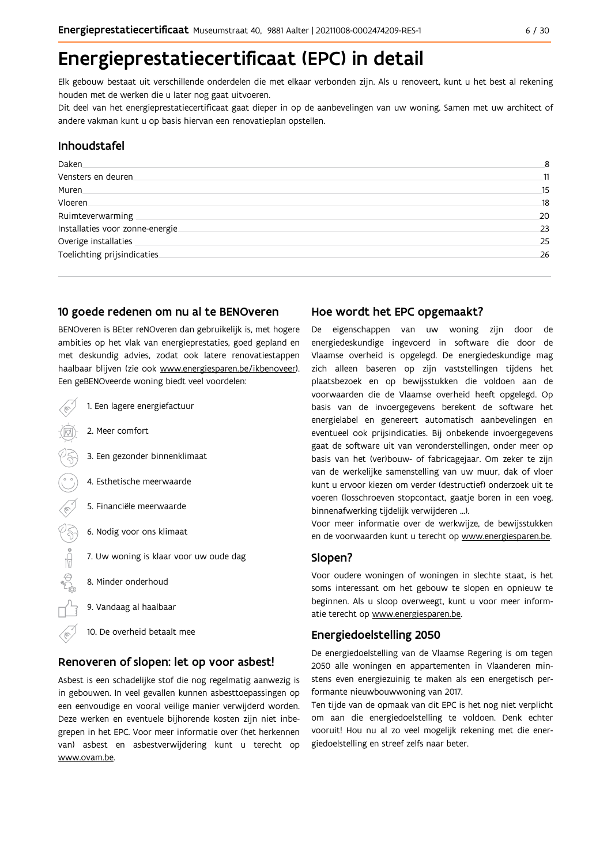# Energieprestatiecertificaat (EPC) in detail

Elk gebouw bestaat uit verschillende onderdelen die met elkaar verbonden zijn. Als u renoveert, kunt u het best al rekening houden met de werken die u later nog gaat uitvoeren.

Dit deel van het energieprestatiecertificaat gaat dieper in op de aanbevelingen van uw woning. Samen met uw architect of andere vakman kunt u op basis hiervan een renovatieplan opstellen.

#### Inhoudstafel

| Daken.                           | 8  |
|----------------------------------|----|
| Vensters en deuren               | 11 |
| Muren.                           | 15 |
| Vloeren                          | 18 |
| Ruimteverwarming                 | 20 |
| Installaties voor zonne-energie. | 23 |
| Overige installaties             | 25 |
| Toelichting prijsindicaties      | 26 |
|                                  |    |

#### 10 goede redenen om nu al te BENOveren

BENOveren is BEter reNOveren dan gebruikelijk is, met hogere ambities op het vlak van energieprestaties, goed gepland en met deskundig advies, zodat ook latere renovatiestappen haalbaar blijven (zie ook www.energiesparen.be/ikbenoveer). Een geBENOveerde woning biedt veel voordelen:

| 1. Een lagere energiefactuur           |
|----------------------------------------|
| 2. Meer comfort                        |
| 3. Een gezonder binnenklimaat          |
| 4. Esthetische meerwaarde              |
| 5. Financiële meerwaarde               |
| 6. Nodig voor ons klimaat              |
| 7. Uw woning is klaar voor uw oude dag |
| 8. Minder onderhoud                    |
| 9. Vandaag al haalbaar                 |
|                                        |

#### 10. De overheid betaalt mee ⋌

#### Renoveren of slopen: let op voor asbest!

Asbest is een schadelijke stof die nog regelmatig aanwezig is in gebouwen. In veel gevallen kunnen asbesttoepassingen op een eenvoudige en vooral veilige manier verwijderd worden. Deze werken en eventuele bijhorende kosten zijn niet inbegrepen in het EPC. Voor meer informatie over (het herkennen van) asbest en asbestverwijdering kunt u terecht op www.ovam.be.

#### Hoe wordt het EPC opgemaakt?

De eigenschappen van uw woning zijn door de energiedeskundige ingevoerd in software die door de Vlaamse overheid is opgelegd. De energiedeskundige mag zich alleen baseren op zijn vaststellingen tijdens het plaatsbezoek en op bewijsstukken die voldoen aan de voorwaarden die de Vlaamse overheid heeft opgelegd. Op basis van de invoergegevens berekent de software het energielabel en genereert automatisch aanbevelingen en eventueel ook prijsindicaties. Bij onbekende invoergegevens gaat de software uit van veronderstellingen, onder meer op basis van het (ver)bouw- of fabricagejaar. Om zeker te zijn van de werkelijke samenstelling van uw muur, dak of vloer kunt u ervoor kiezen om verder (destructief) onderzoek uit te voeren (losschroeven stopcontact, gaatje boren in een voeg, binnenafwerking tijdelijk verwijderen ...).

Voor meer informatie over de werkwijze, de bewijsstukken en de voorwaarden kunt u terecht op www.energiesparen.be.

#### Slopen?

Voor oudere woningen of woningen in slechte staat, is het soms interessant om het gebouw te slopen en opnieuw te beginnen. Als u sloop overweegt, kunt u voor meer informatie terecht op www.energiesparen.be.

#### **Energiedoelstelling 2050**

De energiedoelstelling van de Vlaamse Regering is om tegen 2050 alle woningen en appartementen in Vlaanderen minstens even energiezuinig te maken als een energetisch performante nieuwbouwwoning van 2017.

Ten tijde van de opmaak van dit EPC is het nog niet verplicht om aan die energiedoelstelling te voldoen. Denk echter vooruit! Hou nu al zo veel mogelijk rekening met die energiedoelstelling en streef zelfs naar beter.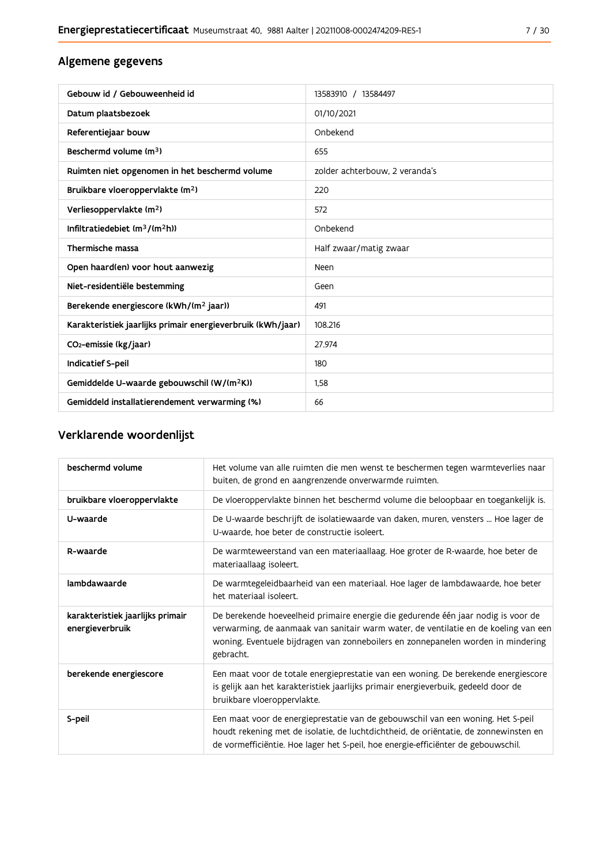### Algemene gegevens

| Gebouw id / Gebouweenheid id                                | 13583910 / 13584497            |
|-------------------------------------------------------------|--------------------------------|
| Datum plaatsbezoek                                          | 01/10/2021                     |
| Referentiejaar bouw                                         | Onbekend                       |
| Beschermd volume (m <sup>3</sup> )                          | 655                            |
| Ruimten niet opgenomen in het beschermd volume              | zolder achterbouw. 2 veranda's |
| Bruikbare vloeroppervlakte (m <sup>2</sup> )                | 220                            |
| Verliesoppervlakte (m <sup>2</sup> )                        | 572                            |
| Infiltratiedebiet (m <sup>3</sup> /(m <sup>2</sup> h))      | Onbekend                       |
| Thermische massa                                            | Half zwaar/matig zwaar         |
| Open haard(en) voor hout aanwezig                           | Neen                           |
| Niet-residentiële bestemming                                | Geen                           |
| Berekende energiescore (kWh/(m <sup>2</sup> jaar))          | 491                            |
| Karakteristiek jaarlijks primair energieverbruik (kWh/jaar) | 108.216                        |
| CO <sub>2</sub> -emissie (kg/jaar)                          | 27.974                         |
| <b>Indicatief S-peil</b>                                    | 180                            |
| Gemiddelde U-waarde gebouwschil (W/(m <sup>2</sup> K))      | 1.58                           |
| Gemiddeld installatierendement verwarming (%)               | 66                             |

# Verklarende woordenlijst

| beschermd volume                                    | Het volume van alle ruimten die men wenst te beschermen tegen warmteverlies naar<br>buiten, de grond en aangrenzende onverwarmde ruimten.                                                                                                                                 |
|-----------------------------------------------------|---------------------------------------------------------------------------------------------------------------------------------------------------------------------------------------------------------------------------------------------------------------------------|
| bruikbare vloeroppervlakte                          | De vloeroppervlakte binnen het beschermd volume die beloopbaar en toegankelijk is.                                                                                                                                                                                        |
| U-waarde                                            | De U-waarde beschrijft de isolatiewaarde van daken, muren, vensters  Hoe lager de<br>U-waarde, hoe beter de constructie isoleert.                                                                                                                                         |
| R-waarde                                            | De warmteweerstand van een materiaallaag. Hoe groter de R-waarde, hoe beter de<br>materiaallaag isoleert.                                                                                                                                                                 |
| lambdawaarde                                        | De warmtegeleidbaarheid van een materiaal. Hoe lager de lambdawaarde, hoe beter<br>het materiaal isoleert.                                                                                                                                                                |
| karakteristiek jaarlijks primair<br>energieverbruik | De berekende hoeveelheid primaire energie die gedurende één jaar nodig is voor de<br>verwarming, de aanmaak van sanitair warm water, de ventilatie en de koeling van een<br>woning. Eventuele bijdragen van zonneboilers en zonnepanelen worden in mindering<br>gebracht. |
| berekende energiescore                              | Een maat voor de totale energieprestatie van een woning. De berekende energiescore<br>is gelijk aan het karakteristiek jaarlijks primair energieverbuik, gedeeld door de<br>bruikbare vloeroppervlakte.                                                                   |
| S-peil                                              | Een maat voor de energieprestatie van de gebouwschil van een woning. Het S-peil<br>houdt rekening met de isolatie, de luchtdichtheid, de oriëntatie, de zonnewinsten en<br>de vormefficiëntie. Hoe lager het S-peil, hoe energie-efficiënter de gebouwschil.              |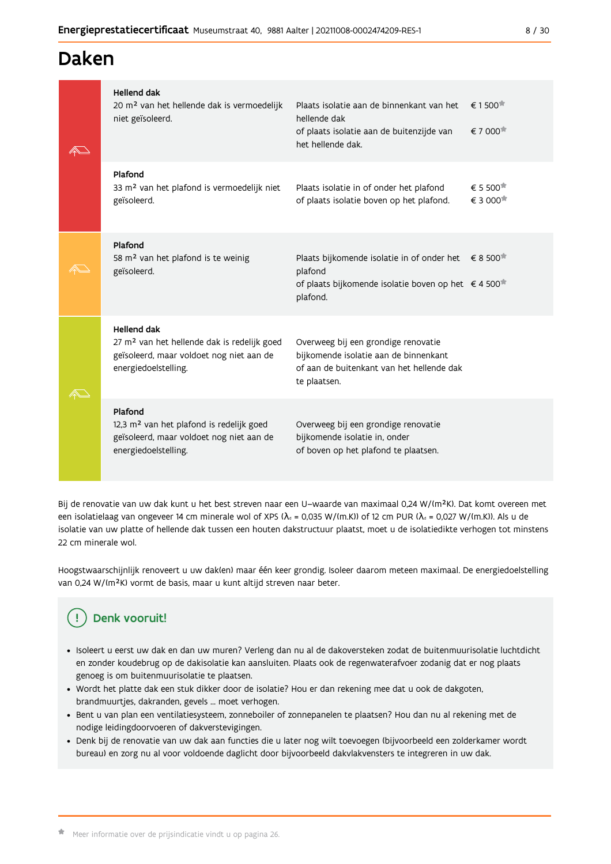# Daken

|  | <b>Hellend dak</b><br>20 m <sup>2</sup> van het hellende dak is vermoedelijk<br>niet geïsoleerd.                                                  | Plaats isolatie aan de binnenkant van het<br>hellende dak<br>of plaats isolatie aan de buitenzijde van<br>het hellende dak.               | $\epsilon$ 1500 <sup><math>\pi</math></sup><br>€ 7 000 |
|--|---------------------------------------------------------------------------------------------------------------------------------------------------|-------------------------------------------------------------------------------------------------------------------------------------------|--------------------------------------------------------|
|  | Plafond<br>33 m <sup>2</sup> van het plafond is vermoedelijk niet<br>geïsoleerd.                                                                  | Plaats isolatie in of onder het plafond<br>of plaats isolatie boven op het plafond.                                                       | € 5 500 <sup>★</sup><br>€ 3 000 <sup>★</sup>           |
|  | Plafond<br>58 m <sup>2</sup> van het plafond is te weinig<br>geïsoleerd.                                                                          | Plaats bijkomende isolatie in of onder het<br>plafond<br>of plaats bijkomende isolatie boven op het € 4 500 <sup>*</sup><br>plafond.      | $\epsilon$ 8 500 $\pi$                                 |
|  | <b>Hellend dak</b><br>27 m <sup>2</sup> van het hellende dak is redelijk goed<br>geïsoleerd, maar voldoet nog niet aan de<br>energiedoelstelling. | Overweeg bij een grondige renovatie<br>bijkomende isolatie aan de binnenkant<br>of aan de buitenkant van het hellende dak<br>te plaatsen. |                                                        |
|  | Plafond<br>12,3 m <sup>2</sup> van het plafond is redelijk goed<br>geïsoleerd, maar voldoet nog niet aan de<br>energiedoelstelling.               | Overweeg bij een grondige renovatie<br>bijkomende isolatie in, onder<br>of boven op het plafond te plaatsen.                              |                                                        |

Bij de renovatie van uw dak kunt u het best streven naar een U-waarde van maximaal 0,24 W/(m<sup>2</sup>K). Dat komt overeen met een isolatielaag van ongeveer 14 cm minerale wol of XPS ( $\lambda_a$  = 0,035 W/(m.K)) of 12 cm PUR ( $\lambda_a$  = 0,027 W/(m.K)). Als u de isolatie van uw platte of hellende dak tussen een houten dakstructuur plaatst, moet u de isolatiedikte verhogen tot minstens 22 cm minerale wol.

Hoogstwaarschijnlijk renoveert u uw dak(en) maar één keer grondig. Isoleer daarom meteen maximaal. De energiedoelstelling van 0,24 W/(m<sup>2</sup>K) vormt de basis, maar u kunt altijd streven naar beter.

#### Denk vooruit! Ţ

- · Isoleert u eerst uw dak en dan uw muren? Verleng dan nu al de dakoversteken zodat de buitenmuurisolatie luchtdicht en zonder koudebrug op de dakisolatie kan aansluiten. Plaats ook de regenwaterafvoer zodanig dat er nog plaats genoeg is om buitenmuurisolatie te plaatsen.
- · Wordt het platte dak een stuk dikker door de isolatie? Hou er dan rekening mee dat u ook de dakgoten, brandmuurtjes, dakranden, gevels ... moet verhogen.
- Bent u van plan een ventilatiesysteem, zonneboiler of zonnepanelen te plaatsen? Hou dan nu al rekening met de nodige leidingdoorvoeren of dakverstevigingen.
- · Denk bij de renovatie van uw dak aan functies die u later nog wilt toevoegen (bijvoorbeeld een zolderkamer wordt bureau) en zorg nu al voor voldoende daglicht door bijvoorbeeld dakvlakvensters te integreren in uw dak.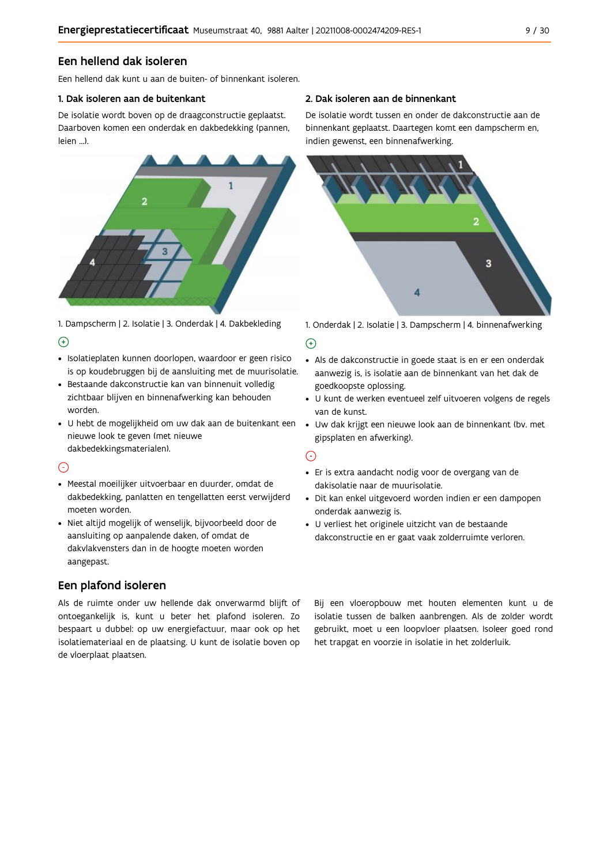#### Een hellend dak isoleren

Een hellend dak kunt u aan de buiten- of binnenkant isoleren.

#### 1. Dak isoleren aan de buitenkant

De isolatie wordt boven op de draagconstructie geplaatst. Daarboven komen een onderdak en dakbedekking (pannen, leien ...).



1. Dampscherm | 2. Isolatie | 3. Onderdak | 4. Dakbekleding  $\Theta$ 

- · Isolatieplaten kunnen doorlopen, waardoor er geen risico is op koudebruggen bij de aansluiting met de muurisolatie.
- · Bestaande dakconstructie kan van binnenuit volledig zichtbaar blijven en binnenafwerking kan behouden worden.
- · U hebt de mogelijkheid om uw dak aan de buitenkant een nieuwe look te geven (met nieuwe dakbedekkingsmaterialen).

#### $\odot$

- · Meestal moeilijker uitvoerbaar en duurder, omdat de dakbedekking, panlatten en tengellatten eerst verwijderd moeten worden.
- · Niet altijd mogelijk of wenselijk, bijvoorbeeld door de aansluiting op aanpalende daken, of omdat de dakvlakvensters dan in de hoogte moeten worden aangepast.

### Een plafond isoleren

Als de ruimte onder uw hellende dak onverwarmd blijft of ontoegankelijk is, kunt u beter het plafond isoleren. Zo bespaart u dubbel: op uw energiefactuur, maar ook op het isolatiemateriaal en de plaatsing. U kunt de isolatie boven op de vloerplaat plaatsen.

#### 2. Dak isoleren aan de binnenkant

De isolatie wordt tussen en onder de dakconstructie aan de binnenkant geplaatst. Daartegen komt een dampscherm en, indien gewenst, een binnenafwerking.



1. Onderdak | 2. Isolatie | 3. Dampscherm | 4. binnenafwerking

#### $\bigoplus$

- Als de dakconstructie in goede staat is en er een onderdak aanwezig is, is isolatie aan de binnenkant van het dak de goedkoopste oplossing.
- · U kunt de werken eventueel zelf uitvoeren volgens de regels van de kunst.
- · Uw dak krijgt een nieuwe look aan de binnenkant (bv. met gipsplaten en afwerking).

#### $\odot$

- · Er is extra aandacht nodig voor de overgang van de dakisolatie naar de muurisolatie.
- · Dit kan enkel uitgevoerd worden indien er een dampopen onderdak aanwezig is.
- · U verliest het originele uitzicht van de bestaande dakconstructie en er gaat vaak zolderruimte verloren.

Bij een vloeropbouw met houten elementen kunt u de isolatie tussen de balken aanbrengen. Als de zolder wordt gebruikt, moet u een loopvloer plaatsen. Isoleer goed rond het trapgat en voorzie in isolatie in het zolderluik.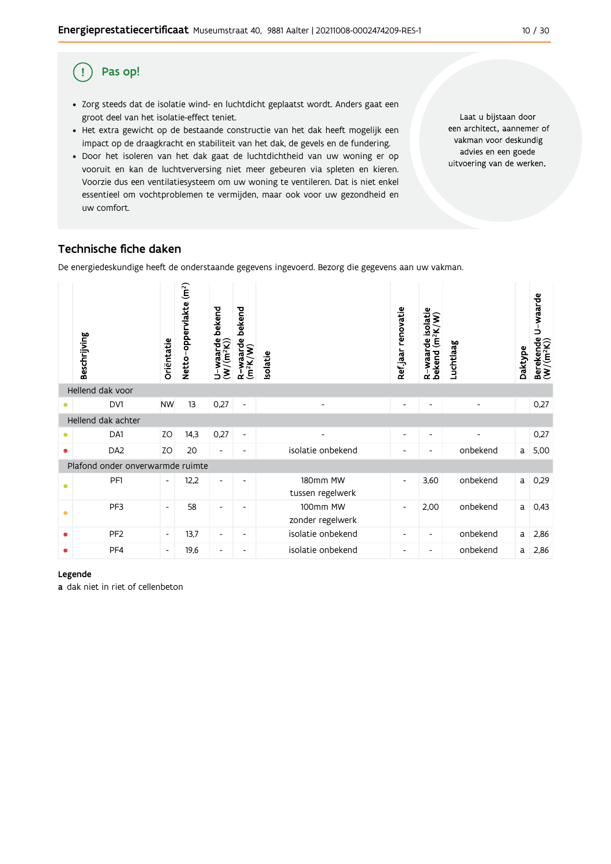#### Pas op! (!)

- · Zorg steeds dat de isolatie wind- en luchtdicht geplaatst wordt. Anders gaat een groot deel van het isolatie-effect teniet.
- · Het extra gewicht op de bestaande constructie van het dak heeft mogelijk een impact op de draagkracht en stabiliteit van het dak, de gevels en de fundering.
- · Door het isoleren van het dak gaat de luchtdichtheid van uw woning er op vooruit en kan de luchtverversing niet meer gebeuren via spleten en kieren. Voorzie dus een ventilatiesysteem om uw woning te ventileren. Dat is niet enkel essentieel om vochtproblemen te vermijden, maar ook voor uw gezondheid en uw comfort.

Laat u bijstaan door een architect, aannemer of vakman voor deskundig advies en een goede uitvoering van de werken.

#### Technische fiche daken

De energiedeskundige heeft de onderstaande gegevens ingevoerd. Bezorg die gegevens aan uw vakman.

|           | Beschrijving                     | Oriëntatie               | Netto-oppervlakte (m <sup>2</sup> ) | U-waarde bekend<br>(W/(m <sup>2</sup> K)) | bekend<br>R-waarde I<br>(m <sup>2</sup> K/W) | Isolatie                     | Refjaar renovatie        | R-waarde isolatie<br>bekend (m <sup>2</sup> K/W) | Luchtlaag | Daktype | U-waarde<br>Berekende l<br>(W/(m <sup>2</sup> K)) |
|-----------|----------------------------------|--------------------------|-------------------------------------|-------------------------------------------|----------------------------------------------|------------------------------|--------------------------|--------------------------------------------------|-----------|---------|---------------------------------------------------|
|           | Hellend dak voor                 |                          |                                     |                                           |                                              |                              |                          |                                                  |           |         |                                                   |
| $\bullet$ | DV1                              | <b>NW</b>                | 13                                  | 0,27                                      | $\overline{\phantom{a}}$                     |                              |                          | $\overline{\phantom{0}}$                         |           |         | 0,27                                              |
|           | Hellend dak achter               |                          |                                     |                                           |                                              |                              |                          |                                                  |           |         |                                                   |
| $\bullet$ | DA1                              | ZO                       | 14,3                                | 0,27                                      | $\overline{\phantom{a}}$                     |                              | $\overline{\phantom{0}}$ | -                                                |           |         | 0,27                                              |
| $\bullet$ | DA <sub>2</sub>                  | ZO                       | 20                                  | $\overline{\phantom{0}}$                  |                                              | isolatie onbekend            |                          |                                                  | onbekend  | a       | 5,00                                              |
|           | Plafond onder onverwarmde ruimte |                          |                                     |                                           |                                              |                              |                          |                                                  |           |         |                                                   |
| $\bullet$ | PF <sub>1</sub>                  | $\overline{\phantom{a}}$ | 12,2                                | -                                         |                                              | 180mm MW<br>tussen regelwerk | $\overline{\phantom{a}}$ | 3,60                                             | onbekend  | a       | 0,29                                              |
| $\bullet$ | PF3                              | $\overline{\phantom{a}}$ | 58                                  | -                                         |                                              | 100mm MW<br>zonder regelwerk | $\overline{\phantom{a}}$ | 2,00                                             | onbekend  | a       | 0,43                                              |
| ٠         | PF <sub>2</sub>                  | $\overline{\phantom{a}}$ | 13,7                                | $\overline{\phantom{a}}$                  | $\overline{\phantom{a}}$                     | isolatie onbekend            |                          | -                                                | onbekend  | a       | 2,86                                              |
| $\bullet$ | PF4                              | $\overline{\phantom{a}}$ | 19,6                                | $\overline{\phantom{a}}$                  | $\overline{\phantom{a}}$                     | isolatie onbekend            | $\overline{\phantom{a}}$ | $\overline{\phantom{a}}$                         | onbekend  | a       | 2,86                                              |

#### Legende

a dak niet in riet of cellenbeton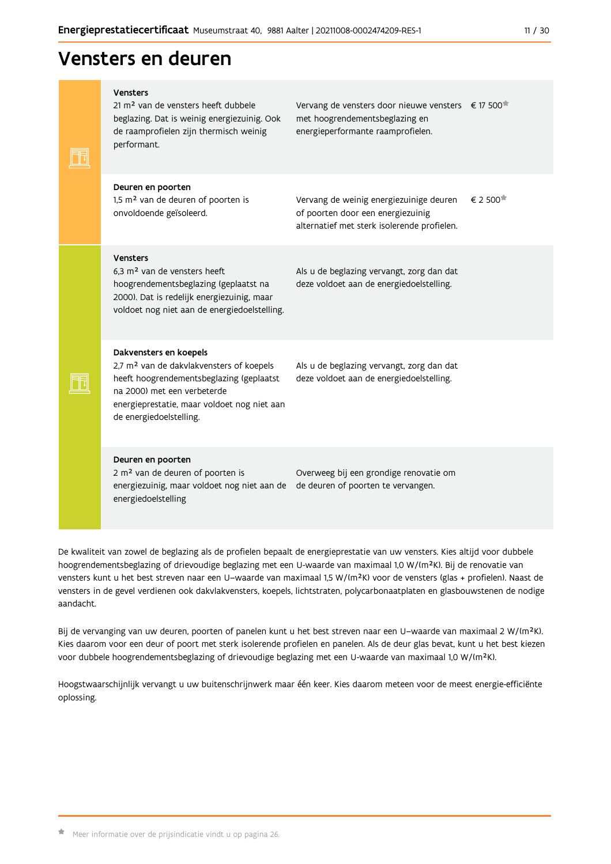# Vensters en deuren

| <b>Vensters</b><br>21 m <sup>2</sup> van de vensters heeft dubbele<br>beglazing. Dat is weinig energiezuinig. Ook<br>de raamprofielen zijn thermisch weinig<br>performant.                                                          | Vervang de vensters door nieuwe vensters € 17 500 <sup>*</sup><br>met hoogrendementsbeglazing en<br>energieperformante raamprofielen. |                             |
|-------------------------------------------------------------------------------------------------------------------------------------------------------------------------------------------------------------------------------------|---------------------------------------------------------------------------------------------------------------------------------------|-----------------------------|
| Deuren en poorten<br>1,5 m <sup>2</sup> van de deuren of poorten is<br>onvoldoende geïsoleerd.                                                                                                                                      | Vervang de weinig energiezuinige deuren<br>of poorten door een energiezuinig<br>alternatief met sterk isolerende profielen.           | $\epsilon$ 2 500 $^{\star}$ |
| <b>Vensters</b><br>6,3 m <sup>2</sup> van de vensters heeft<br>hoogrendementsbeglazing (geplaatst na<br>2000). Dat is redelijk energiezuinig, maar<br>voldoet nog niet aan de energiedoelstelling.                                  | Als u de beglazing vervangt, zorg dan dat<br>deze voldoet aan de energiedoelstelling.                                                 |                             |
| Dakvensters en koepels<br>2,7 m <sup>2</sup> van de dakvlakvensters of koepels<br>heeft hoogrendementsbeglazing (geplaatst<br>na 2000) met een verbeterde<br>energieprestatie, maar voldoet nog niet aan<br>de energiedoelstelling. | Als u de beglazing vervangt, zorg dan dat<br>deze voldoet aan de energiedoelstelling.                                                 |                             |
| Deuren en poorten<br>2 m <sup>2</sup> van de deuren of poorten is<br>energiezuinig, maar voldoet nog niet aan de<br>energiedoelstelling                                                                                             | Overweeg bij een grondige renovatie om<br>de deuren of poorten te vervangen.                                                          |                             |
|                                                                                                                                                                                                                                     |                                                                                                                                       |                             |

De kwaliteit van zowel de beglazing als de profielen bepaalt de energieprestatie van uw vensters. Kies altijd voor dubbele hoogrendementsbeglazing of drievoudige beglazing met een U-waarde van maximaal 1,0 W/(m<sup>2</sup>K). Bij de renovatie van vensters kunt u het best streven naar een U-waarde van maximaal 1,5 W/(m<sup>2</sup>K) voor de vensters (glas + profielen). Naast de vensters in de gevel verdienen ook dakvlakvensters, koepels, lichtstraten, polycarbonaatplaten en glasbouwstenen de nodige aandacht.

Bij de vervanging van uw deuren, poorten of panelen kunt u het best streven naar een U-waarde van maximaal 2 W/(m<sup>2</sup>K). Kies daarom voor een deur of poort met sterk isolerende profielen en panelen. Als de deur glas bevat, kunt u het best kiezen voor dubbele hoogrendementsbeglazing of drievoudige beglazing met een U-waarde van maximaal 1,0 W/(m<sup>2</sup>K).

Hoogstwaarschijnlijk vervangt u uw buitenschrijnwerk maar één keer. Kies daarom meteen voor de meest energie-efficiënte oplossing.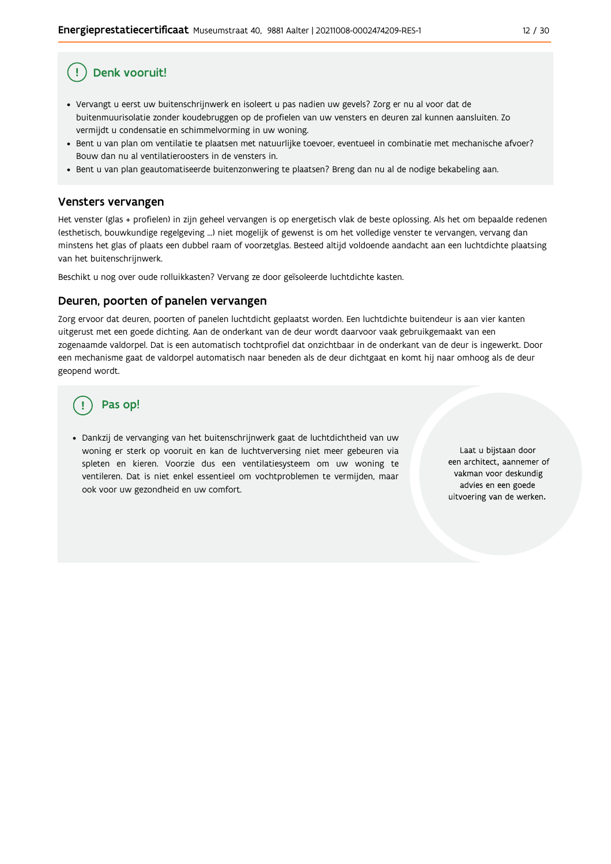# Denk vooruit!

- · Vervangt u eerst uw buitenschrijnwerk en isoleert u pas nadien uw gevels? Zorg er nu al voor dat de buitenmuurisolatie zonder koudebruggen op de profielen van uw vensters en deuren zal kunnen aansluiten. Zo vermijdt u condensatie en schimmelvorming in uw woning.
- Bent u van plan om ventilatie te plaatsen met natuurlijke toevoer, eventueel in combinatie met mechanische afvoer? Bouw dan nu al ventilatieroosters in de vensters in.
- · Bent u van plan geautomatiseerde buitenzonwering te plaatsen? Breng dan nu al de nodige bekabeling aan.

#### Vensters vervangen

Het venster (glas + profielen) in zijn geheel vervangen is op energetisch vlak de beste oplossing. Als het om bepaalde redenen (esthetisch, bouwkundige regelgeving ...) niet mogelijk of gewenst is om het volledige venster te vervangen, vervang dan minstens het glas of plaats een dubbel raam of voorzetglas. Besteed altijd voldoende aandacht aan een luchtdichte plaatsing van het buitenschrijnwerk.

Beschikt u nog over oude rolluikkasten? Vervang ze door geïsoleerde luchtdichte kasten.

#### Deuren, poorten of panelen vervangen

Zorg ervoor dat deuren, poorten of panelen luchtdicht geplaatst worden. Een luchtdichte buitendeur is aan vier kanten uitgerust met een goede dichting. Aan de onderkant van de deur wordt daarvoor vaak gebruikgemaakt van een zogenaamde valdorpel. Dat is een automatisch tochtprofiel dat onzichtbaar in de onderkant van de deur is ingewerkt. Door een mechanisme gaat de valdorpel automatisch naar beneden als de deur dichtgaat en komt hij naar omhoog als de deur geopend wordt.

# Pas op!

· Dankzij de vervanging van het buitenschrijnwerk gaat de luchtdichtheid van uw woning er sterk op vooruit en kan de luchtverversing niet meer gebeuren via spleten en kieren. Voorzie dus een ventilatiesysteem om uw woning te ventileren. Dat is niet enkel essentieel om vochtproblemen te vermijden, maar ook voor uw gezondheid en uw comfort.

Laat u bijstaan door een architect, aannemer of vakman voor deskundig advies en een goede uitvoering van de werken.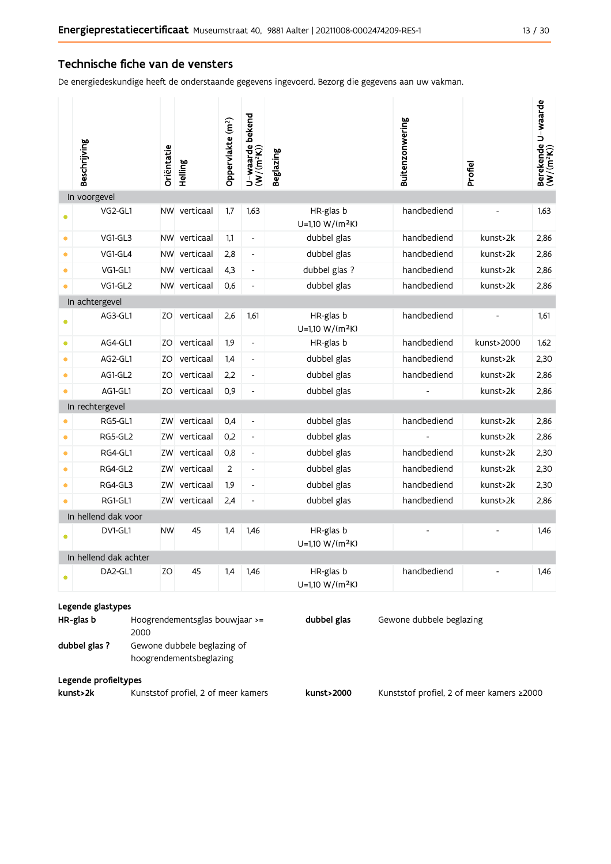#### Technische fiche van de vensters

De energiedeskundige heeft de onderstaande gegevens ingevoerd. Bezorg die gegevens aan uw vakman.

|           | Beschrijving                                    | Oriëntatie | Helling                                                                                  | Oppervlakte (m <sup>2</sup> ) | U-waarde bekend<br>(W/(m <sup>2</sup> K)) | <b>Beglazing</b>                         | Buitenzonwering                           | Profiel    | Berekende U-waarde<br>(W/(m <sup>2</sup> K)) |
|-----------|-------------------------------------------------|------------|------------------------------------------------------------------------------------------|-------------------------------|-------------------------------------------|------------------------------------------|-------------------------------------------|------------|----------------------------------------------|
|           | In voorgevel                                    |            |                                                                                          |                               |                                           |                                          |                                           |            |                                              |
| Ο         | VG2-GL1                                         |            | NW verticaal                                                                             | 1,7                           | 1,63                                      | HR-glas b<br>U=1,10 W/(m <sup>2</sup> K) | handbediend                               |            | 1,63                                         |
| $\bullet$ | VG1-GL3                                         |            | NW verticaal                                                                             | 1,1                           | $\overline{\phantom{a}}$                  | dubbel glas                              | handbediend                               | kunst>2k   | 2,86                                         |
| $\bullet$ | VG1-GL4                                         |            | NW verticaal                                                                             | 2,8                           | $\overline{\phantom{a}}$                  | dubbel glas                              | handbediend                               | kunst>2k   | 2,86                                         |
| $\bullet$ | VG1-GL1                                         |            | NW verticaal                                                                             | 4,3                           | $\overline{\phantom{a}}$                  | dubbel glas ?                            | handbediend                               | kunst>2k   | 2,86                                         |
| $\bullet$ | VG1-GL2                                         |            | NW verticaal                                                                             | 0,6                           | $\overline{\phantom{0}}$                  | dubbel glas                              | handbediend                               | kunst>2k   | 2,86                                         |
|           | In achtergevel                                  |            |                                                                                          |                               |                                           |                                          |                                           |            |                                              |
| $\bullet$ | AG3-GL1                                         | ZO         | verticaal                                                                                | 2,6                           | 1,61                                      | HR-glas b<br>U=1,10 W/(m <sup>2</sup> K) | handbediend                               |            | 1,61                                         |
| $\bullet$ | AG4-GL1                                         | ZO         | verticaal                                                                                | 1,9                           | $\overline{\phantom{a}}$                  | HR-glas b                                | handbediend                               | kunst>2000 | 1,62                                         |
| $\bullet$ | AG2-GL1                                         | ZO         | verticaal                                                                                | 1,4                           | $\overline{\phantom{a}}$                  | dubbel glas                              | handbediend                               | kunst>2k   | 2,30                                         |
| $\bullet$ | AG1-GL2                                         | ZO         | verticaal                                                                                | 2,2                           | $\overline{\phantom{a}}$                  | dubbel glas                              | handbediend                               | kunst>2k   | 2,86                                         |
| $\bullet$ | AG1-GL1                                         | ZO         | verticaal                                                                                | 0,9                           | $\frac{1}{2}$                             | dubbel glas                              |                                           | kunst>2k   | 2,86                                         |
|           | In rechtergevel                                 |            |                                                                                          |                               |                                           |                                          |                                           |            |                                              |
| $\bullet$ | RG5-GL1                                         | ZW         | verticaal                                                                                | 0,4                           | $\overline{\phantom{a}}$                  | dubbel glas                              | handbediend                               | kunst>2k   | 2,86                                         |
| $\bullet$ | RG5-GL2                                         | ZW         | verticaal                                                                                | 0,2                           | $\overline{\phantom{a}}$                  | dubbel glas                              |                                           | kunst>2k   | 2,86                                         |
| $\bullet$ | RG4-GL1                                         | ZW         | verticaal                                                                                | 0,8                           | $\overline{\phantom{a}}$                  | dubbel glas                              | handbediend                               | kunst>2k   | 2,30                                         |
| $\bullet$ | RG4-GL2                                         | ZW         | verticaal                                                                                | 2                             | $\overline{\phantom{a}}$                  | dubbel glas                              | handbediend                               | kunst>2k   | 2,30                                         |
| $\bullet$ | RG4-GL3                                         | ZW         | verticaal                                                                                | 1,9                           | $\overline{\phantom{a}}$                  | dubbel glas                              | handbediend                               | kunst>2k   | 2,30                                         |
| $\bullet$ | RG1-GL1                                         | ZW         | verticaal                                                                                | 2,4                           | $\overline{\phantom{a}}$                  | dubbel glas                              | handbediend                               | kunst>2k   | 2,86                                         |
|           | In hellend dak voor                             |            |                                                                                          |                               |                                           |                                          |                                           |            |                                              |
|           | DV1-GL1                                         | <b>NW</b>  | 45                                                                                       | 1,4                           | 1,46                                      | HR-glas b<br>$U=1,10 W/(m^2K)$           |                                           |            | 1,46                                         |
|           | In hellend dak achter                           |            |                                                                                          |                               |                                           |                                          |                                           |            |                                              |
|           | DA2-GL1                                         | ZO         | 45                                                                                       | 1,4                           | 1,46                                      | HR-glas b<br>U=1,10 W/(m <sup>2</sup> K) | handbediend                               |            | 1,46                                         |
|           | Legende glastypes<br>HR-glas b<br>dubbel glas ? | 2000       | Hoogrendementsglas bouwjaar >=<br>Gewone dubbele beglazing of<br>hoogrendementsbeglazing |                               |                                           | dubbel glas                              | Gewone dubbele beglazing                  |            |                                              |
|           | Legende profieltypes<br>kunst>2k                |            | Kunststof profiel, 2 of meer kamers                                                      |                               |                                           | kunst>2000                               | Kunststof profiel, 2 of meer kamers ≥2000 |            |                                              |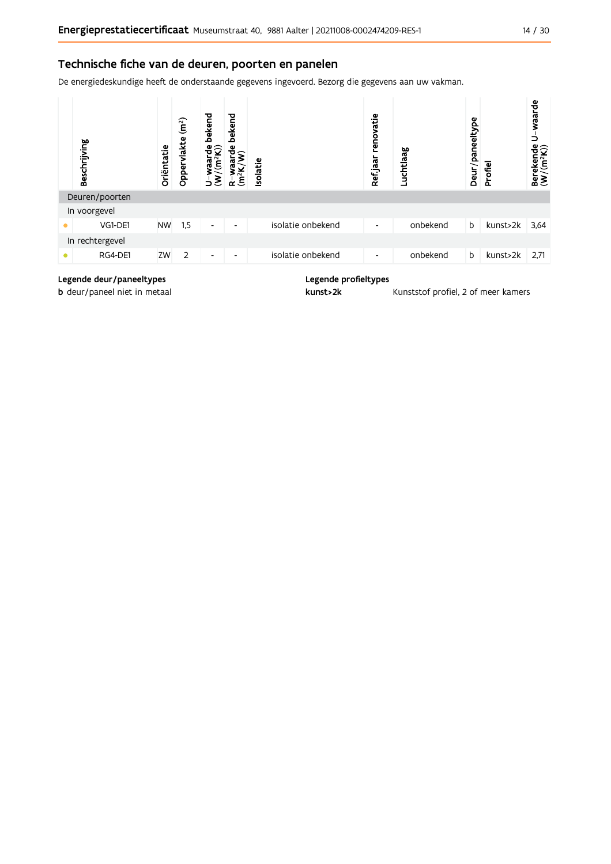#### Technische fiche van de deuren, poorten en panelen

De energiedeskundige heeft de onderstaande gegevens ingevoerd. Bezorg die gegevens aan uw vakman.



#### Legende deur/paneeltypes

**b** deur/paneel niet in metaal

Legende profieltypes

kunst>2k

Kunststof profiel, 2 of meer kamers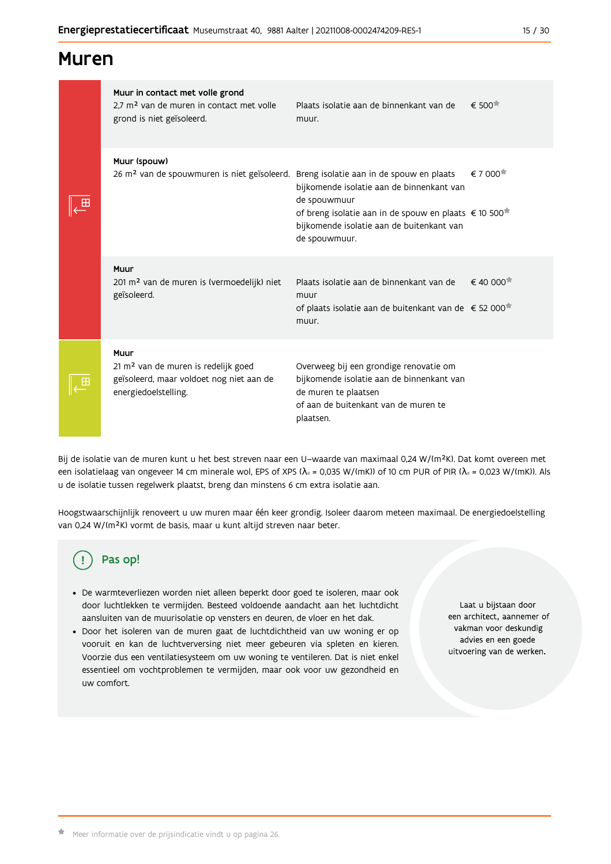#### 15 / 30

| <b>Muren</b> |  |
|--------------|--|
|--------------|--|

| Ш           | Muur in contact met volle grond<br>2.7 m <sup>2</sup> van de muren in contact met volle<br>grond is niet geïsoleerd.        | Plaats isolatie aan de binnenkant van de<br>muur.                                                                                                                                            | $\epsilon$ 500 <sup><math>\pi</math></sup>     |
|-------------|-----------------------------------------------------------------------------------------------------------------------------|----------------------------------------------------------------------------------------------------------------------------------------------------------------------------------------------|------------------------------------------------|
|             | Muur (spouw)<br>26 m <sup>2</sup> van de spouwmuren is niet geïsoleerd. Breng isolatie aan in de spouw en plaats            | bijkomende isolatie aan de binnenkant van<br>de spouwmuur<br>of breng isolatie aan in de spouw en plaats € 10 500 <sup>*</sup><br>bijkomende isolatie aan de buitenkant van<br>de spouwmuur. | $\epsilon$ 7 000 <sup><math>\star</math></sup> |
|             | Muur<br>201 m <sup>2</sup> van de muren is (vermoedelijk) niet<br>geïsoleerd.                                               | Plaats isolatie aan de binnenkant van de<br>muur<br>of plaats isolatie aan de buitenkant van de € 52 000<br>muur.                                                                            | $\epsilon$ 40 000 <sup><math>\pi</math></sup>  |
| $\mathbf F$ | Muur<br>21 m <sup>2</sup> van de muren is redelijk goed<br>geïsoleerd, maar voldoet nog niet aan de<br>energiedoelstelling. | Overweeg bij een grondige renovatie om<br>bijkomende isolatie aan de binnenkant van<br>de muren te plaatsen<br>of aan de buitenkant van de muren te<br>plaatsen.                             |                                                |

Bij de isolatie van de muren kunt u het best streven naar een U-waarde van maximaal 0,24 W/(m<sup>2</sup>K). Dat komt overeen met een isolatielaag van ongeveer 14 cm minerale wol, EPS of XPS ( $\lambda_a$  = 0,035 W/(mK)) of 10 cm PUR of PIR ( $\lambda_a$  = 0,023 W/(mK)). Als u de isolatie tussen regelwerk plaatst, breng dan minstens 6 cm extra isolatie aan.

Hoogstwaarschijnlijk renoveert u uw muren maar één keer grondig. Isoleer daarom meteen maximaal. De energiedoelstelling van 0,24 W/(m<sup>2</sup>K) vormt de basis, maar u kunt altijd streven naar beter.

# Pas op!

- · De warmteverliezen worden niet alleen beperkt door goed te isoleren, maar ook door luchtlekken te vermijden. Besteed voldoende aandacht aan het luchtdicht aansluiten van de muurisolatie op vensters en deuren, de vloer en het dak.
- · Door het isoleren van de muren gaat de luchtdichtheid van uw woning er op vooruit en kan de luchtverversing niet meer gebeuren via spleten en kieren. Voorzie dus een ventilatiesysteem om uw woning te ventileren. Dat is niet enkel essentieel om vochtproblemen te vermijden, maar ook voor uw gezondheid en uw comfort.

Laat u bijstaan door een architect, aannemer of vakman voor deskundig advies en een goede uitvoering van de werken.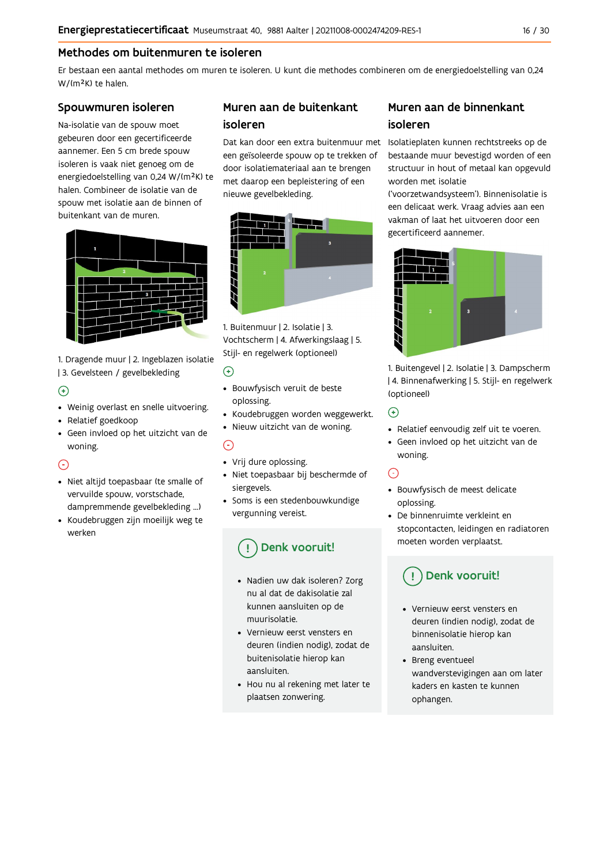### Methodes om buitenmuren te isoleren

Er bestaan een aantal methodes om muren te isoleren. U kunt die methodes combineren om de energiedoelstelling van 0,24 W/(m<sup>2</sup>K) te halen.

#### Spouwmuren isoleren

Na-isolatie van de spouw moet gebeuren door een gecertificeerde aannemer. Een 5 cm brede spouw isoleren is vaak niet genoeg om de energiedoelstelling van 0,24 W/(m<sup>2</sup>K) te halen. Combineer de isolatie van de spouw met isolatie aan de binnen of buitenkant van de muren.



1. Dragende muur | 2. Ingeblazen isolatie | 3. Gevelsteen / gevelbekleding

### $\bigoplus$

- Weinig overlast en snelle uitvoering.
- Relatief goedkoop
- · Geen invloed op het uitzicht van de woning.

### ⊙

- · Niet altijd toepasbaar (te smalle of vervuilde spouw, vorstschade, dampremmende gevelbekleding ...)
- Koudebruggen zijn moeilijk weg te werken

### Muren aan de buitenkant isoleren

een geïsoleerde spouw op te trekken of door isolatiemateriaal aan te brengen met daarop een bepleistering of een nieuwe gevelbekleding.



1. Buitenmuur | 2. Isolatie | 3. Vochtscherm | 4. Afwerkingslaag | 5. Stijl- en regelwerk (optioneel)

#### $\odot$

- · Bouwfysisch veruit de beste oplossing.
- Koudebruggen worden weggewerkt.
- · Nieuw uitzicht van de woning.

### $\odot$

- Vrij dure oplossing.
- · Niet toepasbaar bij beschermde of siergevels.
- Soms is een stedenbouwkundige vergunning vereist.

# Denk vooruit!

- · Nadien uw dak isoleren? Zorg nu al dat de dakisolatie zal kunnen aansluiten op de muurisolatie
- Vernieuw eerst vensters en deuren (indien nodig), zodat de buitenisolatie hierop kan aansluiten.
- Hou nu al rekening met later te plaatsen zonwering.

### Muren aan de binnenkant isoleren

Dat kan door een extra buitenmuur met Isolatieplaten kunnen rechtstreeks op de bestaande muur bevestigd worden of een structuur in hout of metaal kan opgevuld worden met isolatie

('voorzetwandsysteem'). Binnenisolatie is een delicaat werk. Vraag advies aan een vakman of laat het uitvoeren door een gecertificeerd aannemer.



1. Buitengevel | 2. Isolatie | 3. Dampscherm | 4. Binnenafwerking | 5. Stijl- en regelwerk (optioneel)

#### $\bigodot$

- Relatief eenvoudig zelf uit te voeren.
- · Geen invloed op het uitzicht van de woning.

### $\odot$

- · Bouwfysisch de meest delicate oplossing.
- De binnenruimte verkleint en stopcontacten, leidingen en radiatoren moeten worden verplaatst.

# Denk vooruit!

- Vernieuw eerst vensters en deuren (indien nodig), zodat de binnenisolatie hierop kan aansluiten.
- Breng eventueel wandverstevigingen aan om later kaders en kasten te kunnen ophangen.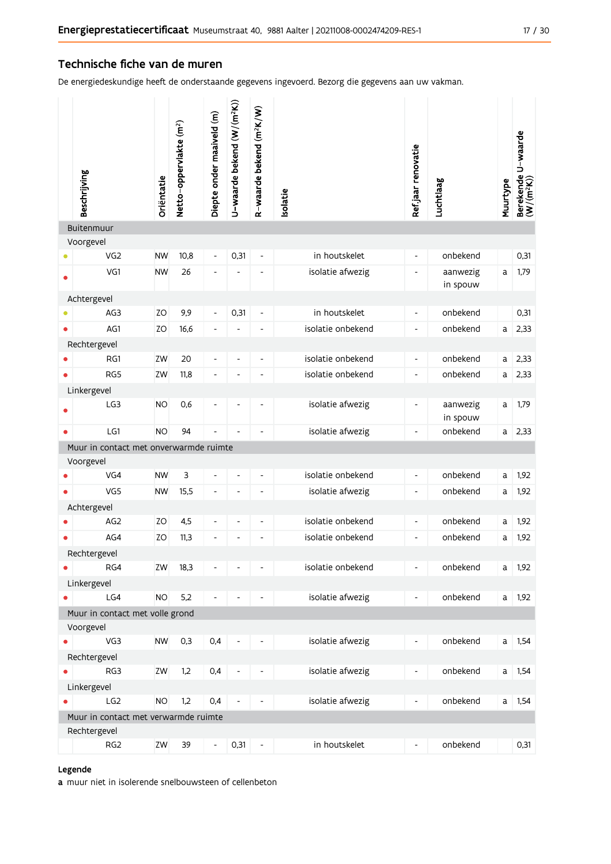#### Technische fiche van de muren

De energiedeskundige heeft de onderstaande gegevens ingevoerd. Bezorg die gegevens aan uw vakman.

| Beschrijving                                 |                                      | Oriëntatie | Netto-oppervlakte (m <sup>2</sup> ) | Diepte onder maaiveld (m)    | U-waarde bekend (W/(m <sup>2</sup> K)) | R-waarde bekend (m <sup>2</sup> K/W) | <b>Isolatie</b>   | Ref jaar renovatie       | Luchtlaag            | Muurtype     | Berekende U-waarde<br>(W/(m <sup>2</sup> K)) |
|----------------------------------------------|--------------------------------------|------------|-------------------------------------|------------------------------|----------------------------------------|--------------------------------------|-------------------|--------------------------|----------------------|--------------|----------------------------------------------|
| Buitenmuur                                   |                                      |            |                                     |                              |                                        |                                      |                   |                          |                      |              |                                              |
| Voorgevel                                    | VG <sub>2</sub>                      | <b>NW</b>  | 10,8                                | $\qquad \qquad -$            | 0,31                                   | $\overline{\phantom{a}}$             | in houtskelet     | $\overline{\phantom{a}}$ | onbekend             |              | 0,31                                         |
|                                              | VG1                                  | <b>NW</b>  | 26                                  | $\qquad \qquad \blacksquare$ |                                        |                                      | isolatie afwezig  | $\blacksquare$           |                      | a            | 1,79                                         |
| Ο                                            |                                      |            |                                     |                              |                                        |                                      |                   |                          | aanwezig<br>in spouw |              |                                              |
| Achtergevel                                  |                                      |            |                                     |                              |                                        |                                      |                   |                          |                      |              |                                              |
|                                              | AG3                                  | ZO         | 9,9                                 | $\frac{1}{2}$                | 0,31                                   | $\blacksquare$                       | in houtskelet     | $\overline{\phantom{a}}$ | onbekend             |              | 0,31                                         |
|                                              | AG1                                  | ZO         | 16,6                                | $\overline{\phantom{0}}$     |                                        | ۰                                    | isolatie onbekend | $\overline{\phantom{a}}$ | onbekend             | a            | 2,33                                         |
| Rechtergevel                                 |                                      |            |                                     |                              |                                        |                                      |                   |                          |                      |              |                                              |
|                                              | RG1                                  | ZW         | 20                                  | $\overline{\phantom{0}}$     | $\overline{\phantom{a}}$               | ۰                                    | isolatie onbekend | $\overline{\phantom{a}}$ | onbekend             | a            | 2,33                                         |
|                                              | RG5                                  | ZW         | 11,8                                | $\overline{\phantom{0}}$     |                                        | L,                                   | isolatie onbekend | $\overline{\phantom{a}}$ | onbekend             | a            | 2,33                                         |
| Linkergevel                                  |                                      |            |                                     |                              |                                        |                                      |                   |                          |                      |              |                                              |
|                                              | LG3                                  | <b>NO</b>  | 0,6                                 | ÷                            | $\overline{a}$                         | ۰                                    | isolatie afwezig  | $\overline{\phantom{a}}$ | aanwezig<br>in spouw | a            | 1,79                                         |
| $\bullet$                                    | LG1                                  | <b>NO</b>  | 94                                  | L,                           | ÷,                                     |                                      | isolatie afwezig  | $\overline{\phantom{a}}$ | onbekend             | a            | 2,33                                         |
| Muur in contact met onverwarmde ruimte       |                                      |            |                                     |                              |                                        |                                      |                   |                          |                      |              |                                              |
| Voorgevel                                    |                                      |            |                                     |                              |                                        |                                      |                   |                          |                      |              |                                              |
|                                              | VG4                                  | <b>NW</b>  | 3                                   | $\overline{\phantom{0}}$     |                                        | ۰                                    | isolatie onbekend | $\overline{\phantom{a}}$ | onbekend             | а            | 1,92                                         |
|                                              | VG5                                  | <b>NW</b>  | 15,5                                | $\overline{\phantom{0}}$     | $\overline{a}$                         | L,                                   | isolatie afwezig  | $\overline{\phantom{a}}$ | onbekend             | a            | 1,92                                         |
| Achtergevel                                  |                                      |            |                                     |                              |                                        |                                      |                   |                          |                      |              |                                              |
|                                              | AG <sub>2</sub>                      | ΖO         | 4,5                                 | $\overline{\phantom{a}}$     | $\overline{\phantom{a}}$               | $\frac{1}{2}$                        | isolatie onbekend | $\overline{\phantom{a}}$ | onbekend             | a            | 1,92                                         |
|                                              | AG4                                  | ZO         | 11,3                                | ÷                            |                                        |                                      | isolatie onbekend | $\overline{\phantom{a}}$ | onbekend             | a            | 1,92                                         |
| Rechtergevel                                 |                                      |            |                                     |                              |                                        |                                      |                   |                          |                      |              |                                              |
|                                              | RG4                                  | ZW         | 18,3                                |                              |                                        |                                      | isolatie onbekend | $\overline{\phantom{a}}$ | onbekend             | a            | 1,92                                         |
| Linkergevel                                  |                                      |            |                                     |                              |                                        |                                      |                   |                          |                      |              |                                              |
|                                              | LG4                                  | <b>NO</b>  | 5,2                                 | $\overline{a}$               |                                        |                                      | isolatie afwezig  | $\overline{\phantom{0}}$ | onbekend             | $\mathsf{a}$ | 1,92                                         |
| Muur in contact met volle grond<br>Voorgevel |                                      |            |                                     |                              |                                        |                                      |                   |                          |                      |              |                                              |
|                                              | VG3                                  | <b>NW</b>  | 0,3                                 | 0,4                          | $\overline{\phantom{a}}$               |                                      | isolatie afwezig  | -                        | onbekend             |              | $a$ 1,54                                     |
|                                              |                                      |            |                                     |                              |                                        |                                      |                   |                          |                      |              |                                              |
| Rechtergevel                                 | RG3                                  | ZW         | 1,2                                 | 0,4                          | $\overline{\phantom{a}}$               |                                      | isolatie afwezig  | ۰                        | onbekend             |              | $a$ 1,54                                     |
| Linkergevel                                  |                                      |            |                                     |                              |                                        |                                      |                   |                          |                      |              |                                              |
|                                              | LG <sub>2</sub>                      | <b>NO</b>  | 1,2                                 | 0,4                          | $\overline{\phantom{a}}$               | $\qquad \qquad \blacksquare$         | isolatie afwezig  | $\overline{\phantom{0}}$ | onbekend             |              | $a$ 1,54                                     |
|                                              | Muur in contact met verwarmde ruimte |            |                                     |                              |                                        |                                      |                   |                          |                      |              |                                              |
| Rechtergevel                                 |                                      |            |                                     |                              |                                        |                                      |                   |                          |                      |              |                                              |
|                                              | RG <sub>2</sub>                      | ZW         | 39                                  | $\overline{\phantom{0}}$     | 0,31                                   | $\qquad \qquad \blacksquare$         | in houtskelet     | $\overline{\phantom{0}}$ | onbekend             |              | 0,31                                         |

#### Legende

a muur niet in isolerende snelbouwsteen of cellenbeton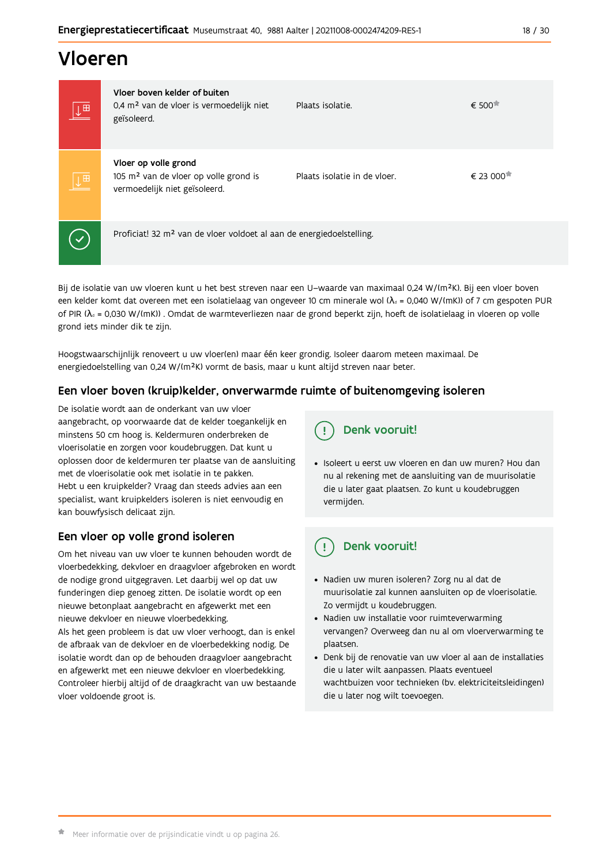# Vloeren

| ↓⊞                      | Vloer boven kelder of buiten<br>0,4 m <sup>2</sup> van de vloer is vermoedelijk niet<br>geïsoleerd.        | Plaats isolatie.             | € 500                 |
|-------------------------|------------------------------------------------------------------------------------------------------------|------------------------------|-----------------------|
| $\downarrow^{\boxplus}$ | Vloer op volle grond<br>105 m <sup>2</sup> van de vloer op volle grond is<br>vermoedelijk niet geïsoleerd. | Plaats isolatie in de vloer. | € 23 000 <sup>★</sup> |
|                         | Proficiat! 32 m <sup>2</sup> van de vloer voldoet al aan de energiedoelstelling.                           |                              |                       |

Bij de isolatie van uw vloeren kunt u het best streven naar een U-waarde van maximaal 0,24 W/(m<sup>2</sup>K). Bij een vloer boven een kelder komt dat overeen met een isolatielaag van ongeveer 10 cm minerale wol ( $\lambda_d$  = 0,040 W/(mK)) of 7 cm gespoten PUR of PIR ( $\lambda_a$  = 0,030 W/(mK)). Omdat de warmteverliezen naar de grond beperkt zijn, hoeft de isolatielaag in vloeren op volle grond iets minder dik te zijn.

Hoogstwaarschijnlijk renoveert u uw vloer(en) maar één keer grondig. Isoleer daarom meteen maximaal. De energiedoelstelling van 0,24 W/(m<sup>2</sup>K) vormt de basis, maar u kunt altijd streven naar beter.

### Een vloer boven (kruip) kelder, onverwarmde ruimte of buitenomgeving isoleren

De isolatie wordt aan de onderkant van uw vloer aangebracht, op voorwaarde dat de kelder toegankelijk en minstens 50 cm hoog is. Keldermuren onderbreken de vloerisolatie en zorgen voor koudebruggen. Dat kunt u oplossen door de keldermuren ter plaatse van de aansluiting met de vloerisolatie ook met isolatie in te pakken. Hebt u een kruipkelder? Vraag dan steeds advies aan een specialist, want kruipkelders isoleren is niet eenvoudig en kan bouwfysisch delicaat zijn.

### Een vloer op volle grond isoleren

Om het niveau van uw vloer te kunnen behouden wordt de vloerbedekking, dekvloer en draagvloer afgebroken en wordt de nodige grond uitgegraven. Let daarbij wel op dat uw funderingen diep genoeg zitten. De isolatie wordt op een nieuwe betonplaat aangebracht en afgewerkt met een nieuwe dekvloer en nieuwe vloerbedekking. Als het geen probleem is dat uw vloer verhoogt, dan is enkel de afbraak van de dekvloer en de vloerbedekking nodig. De isolatie wordt dan op de behouden draagvloer aangebracht en afgewerkt met een nieuwe dekvloer en vloerbedekking. Controleer hierbij altijd of de draagkracht van uw bestaande vloer voldoende groot is.



· Isoleert u eerst uw vloeren en dan uw muren? Hou dan nu al rekening met de aansluiting van de muurisolatie die u later gaat plaatsen. Zo kunt u koudebruggen vermiiden.

#### Ţ Denk vooruit!

- · Nadien uw muren isoleren? Zorg nu al dat de muurisolatie zal kunnen aansluiten op de vloerisolatie. Zo vermijdt u koudebruggen.
- Nadien uw installatie voor ruimteverwarming vervangen? Overweeg dan nu al om vloerverwarming te plaatsen.
- · Denk bij de renovatie van uw vloer al aan de installaties die u later wilt aanpassen. Plaats eventueel wachtbuizen voor technieken (bv. elektriciteitsleidingen) die u later nog wilt toevoegen.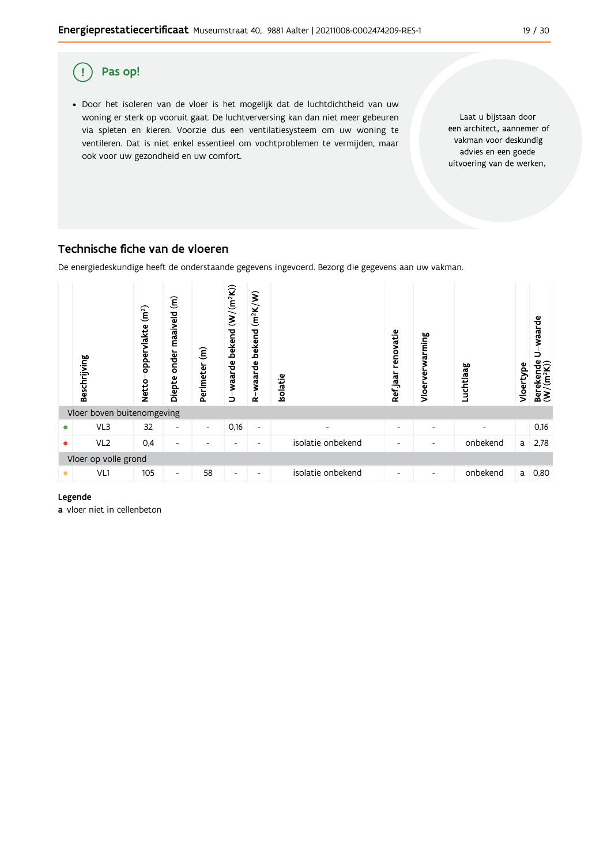

#### Technische fiche van de vloeren

De energiedeskundige heeft de onderstaande gegevens ingevoerd. Bezorg die gegevens aan uw vakman.



Legende

a vloer niet in cellenbeton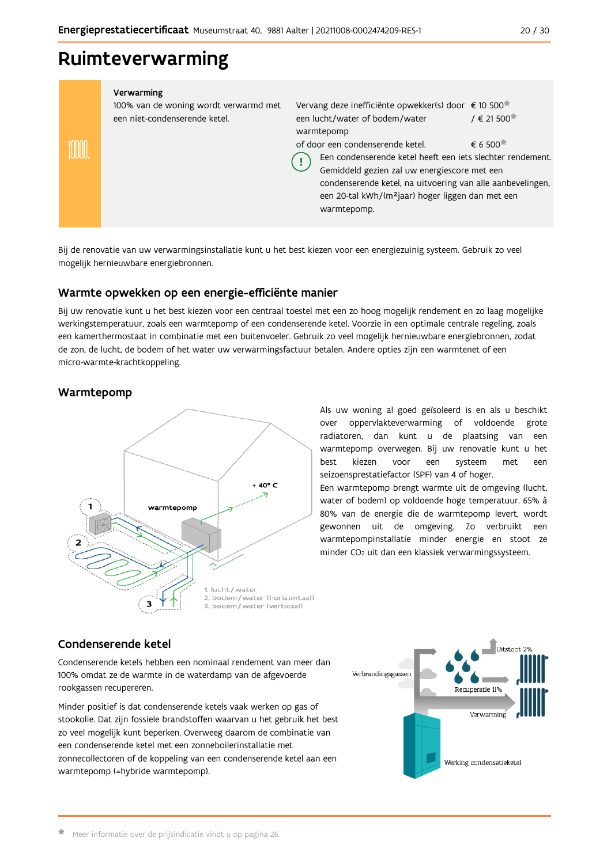# Ruimteverwarming

| Verwarming<br>100% van de woning wordt verwarmd met<br>een niet-condenserende ketel. | Vervang deze inefficiënte opwekker(s) door € 10 500 <sup>*</sup><br>een lucht/water of bodem/water<br>warmtepomp<br>of door een condenserende ketel.<br>Een condenserende ketel heeft een jets slechter rendement.<br>Gemiddeld gezien zal uw energiescore met een<br>condenserende ketel, na uitvoering van alle aanbevelingen,<br>een 20-tal kWh/(m <sup>2</sup> jaar) hoger liggen dan met een<br>warmtepomp. | $/ \in 21500$<br>$\epsilon$ 6 500 <sup>*</sup> |
|--------------------------------------------------------------------------------------|------------------------------------------------------------------------------------------------------------------------------------------------------------------------------------------------------------------------------------------------------------------------------------------------------------------------------------------------------------------------------------------------------------------|------------------------------------------------|
|                                                                                      |                                                                                                                                                                                                                                                                                                                                                                                                                  |                                                |

Bij de renovatie van uw verwarmingsinstallatie kunt u het best kiezen voor een energiezuinig systeem. Gebruik zo veel mogelijk hernieuwbare energiebronnen.

### Warmte opwekken op een energie-efficiënte manier

Bij uw renovatie kunt u het best kiezen voor een centraal toestel met een zo hoog mogelijk rendement en zo laag mogelijke werkingstemperatuur, zoals een warmtepomp of een condenserende ketel. Voorzie in een optimale centrale regeling, zoals een kamerthermostaat in combinatie met een buitenvoeler. Gebruik zo veel mogelijk hernieuwbare energiebronnen, zodat de zon, de lucht, de bodem of het water uw verwarmingsfactuur betalen. Andere opties zijn een warmtenet of een micro-warmte-krachtkoppeling.

### Warmtepomp



Als uw woning al goed geïsoleerd is en als u beschikt over oppervlakteverwarming of voldoende grote radiatoren, dan kunt u de plaatsing van een warmtepomp overwegen. Bij uw renovatie kunt u het hest kiezen voor een systeem met een seizoensprestatiefactor (SPF) van 4 of hoger.

Een warmtepomp brengt warmte uit de omgeving (lucht, water of bodem) op voldoende hoge temperatuur. 65% à 80% van de energie die de warmtepomp levert, wordt gewonnen uit de omgeving. Zo verbruikt een warmtepompinstallatie minder energie en stoot ze minder CO<sub>2</sub> uit dan een klassiek verwarmingssysteem.

### Condenserende ketel

Condenserende ketels hebben een nominaal rendement van meer dan 100% omdat ze de warmte in de waterdamp van de afgevoerde rookgassen recupereren.

Minder positief is dat condenserende ketels vaak werken op gas of stookolie. Dat zijn fossiele brandstoffen waarvan u het gebruik het best zo veel mogelijk kunt beperken. Overweeg daarom de combinatie van een condenserende ketel met een zonneboilerinstallatie met zonnecollectoren of de koppeling van een condenserende ketel aan een warmtepomp (=hybride warmtepomp).

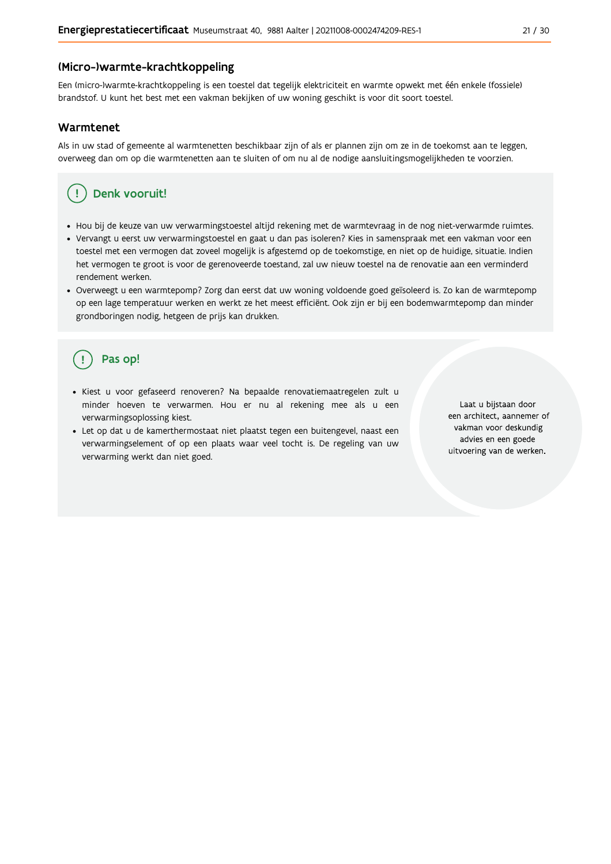#### (Micro-)warmte-krachtkoppeling

Een (micro-)warmte-krachtkoppeling is een toestel dat tegelijk elektriciteit en warmte opwekt met één enkele (fossiele) brandstof. U kunt het best met een vakman bekijken of uw woning geschikt is voor dit soort toestel.

#### Warmtenet

Als in uw stad of gemeente al warmtenetten beschikbaar zijn of als er plannen zijn om ze in de toekomst aan te leggen, overweeg dan om op die warmtenetten aan te sluiten of om nu al de nodige aansluitingsmogelijkheden te voorzien.

#### Denk vooruit! Ţ

- · Hou bij de keuze van uw verwarmingstoestel altijd rekening met de warmtevraag in de nog niet-verwarmde ruimtes.
- Vervangt u eerst uw verwarmingstoestel en gaat u dan pas isoleren? Kies in samenspraak met een vakman voor een toestel met een vermogen dat zoveel mogelijk is afgestemd op de toekomstige, en niet op de huidige, situatie. Indien het vermogen te groot is voor de gerenoveerde toestand, zal uw nieuw toestel na de renovatie aan een verminderd rendement werken.
- · Overweegt u een warmtepomp? Zorg dan eerst dat uw woning voldoende goed geïsoleerd is. Zo kan de warmtepomp op een lage temperatuur werken en werkt ze het meest efficiënt. Ook zijn er bij een bodemwarmtepomp dan minder grondboringen nodig, hetgeen de prijs kan drukken.

# Pas op!

- · Kiest u voor gefaseerd renoveren? Na bepaalde renovatiemaatregelen zult u minder hoeven te verwarmen. Hou er nu al rekening mee als u een verwarmingsoplossing kiest.
- · Let op dat u de kamerthermostaat niet plaatst tegen een buitengevel, naast een verwarmingselement of op een plaats waar veel tocht is. De regeling van uw verwarming werkt dan niet goed.

Laat u bijstaan door een architect, aannemer of vakman voor deskundig advies en een goede uitvoering van de werken.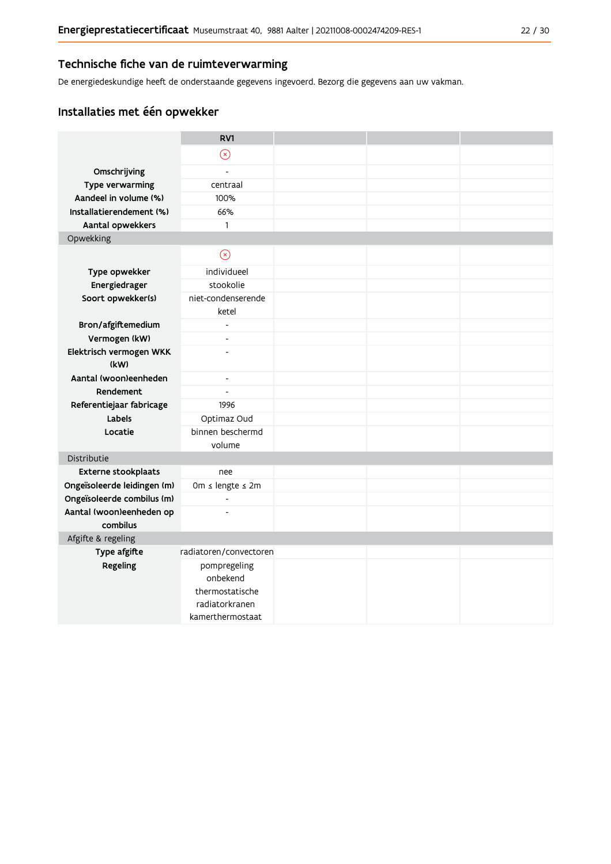#### Technische fiche van de ruimteverwarming

De energiedeskundige heeft de onderstaande gegevens ingevoerd. Bezorg die gegevens aan uw vakman.

### Installaties met één opwekker

|                                      | RV1                         |  |  |
|--------------------------------------|-----------------------------|--|--|
|                                      | $\circledR$                 |  |  |
| Omschrijving                         | L,                          |  |  |
| Type verwarming                      | centraal                    |  |  |
| Aandeel in volume (%)                | 100%                        |  |  |
| Installatierendement (%)             | 66%                         |  |  |
| Aantal opwekkers                     | $\mathbf{1}$                |  |  |
| Opwekking                            |                             |  |  |
|                                      | $\odot$                     |  |  |
| Type opwekker                        | individueel                 |  |  |
| Energiedrager                        | stookolie                   |  |  |
| Soort opwekker(s)                    | niet-condenserende<br>ketel |  |  |
| Bron/afgiftemedium                   | $\blacksquare$              |  |  |
| Vermogen (kW)                        | $\overline{a}$              |  |  |
| Elektrisch vermogen WKK              | $\overline{a}$              |  |  |
| (kW)                                 |                             |  |  |
| Aantal (woon)eenheden                | $\overline{\phantom{a}}$    |  |  |
| Rendement                            | $\overline{\phantom{a}}$    |  |  |
| Referentiejaar fabricage             | 1996                        |  |  |
| Labels                               | Optimaz Oud                 |  |  |
| Locatie                              | binnen beschermd            |  |  |
|                                      | volume                      |  |  |
| Distributie                          |                             |  |  |
| Externe stookplaats                  | nee                         |  |  |
| Ongeïsoleerde leidingen (m)          | 0m ≤ lengte ≤ 2m            |  |  |
| Ongeïsoleerde combilus (m)           | $\overline{a}$              |  |  |
| Aantal (woon)eenheden op<br>combilus | $\overline{a}$              |  |  |
| Afgifte & regeling                   |                             |  |  |
| Type afgifte                         | radiatoren/convectoren      |  |  |
| Regeling                             | pompregeling<br>onbekend    |  |  |
|                                      | thermostatische             |  |  |
|                                      | radiatorkranen              |  |  |
|                                      | kamerthermostaat            |  |  |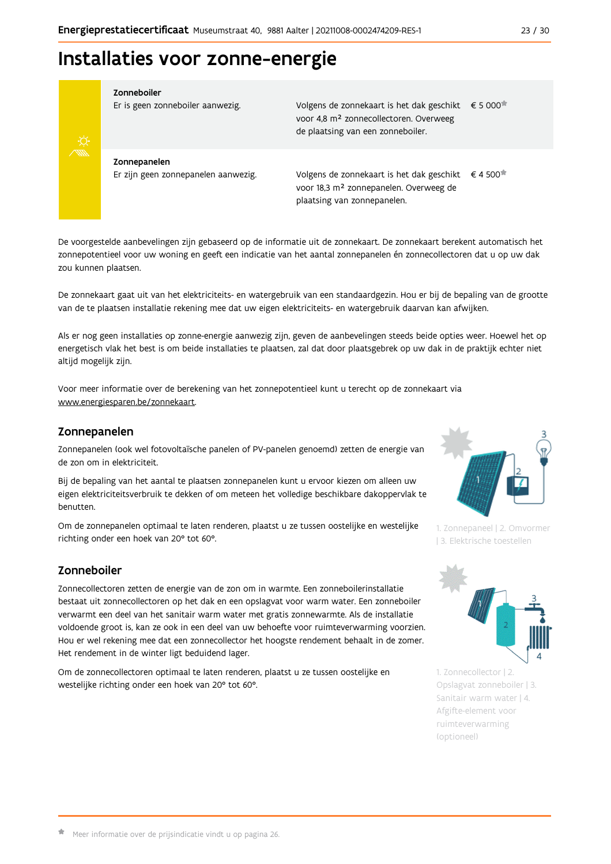# Installaties voor zonne-energie



Zonneboiler

Er is geen zonneboiler aanwezig.

Volgens de zonnekaart is het dak geschikt € 5 000 voor 4,8 m<sup>2</sup> zonnecollectoren. Overweeg de plaatsing van een zonneboiler.

Zonnepanelen Er zijn geen zonnepanelen aanwezig.

Volgens de zonnekaart is het dak geschikt  $\epsilon$  4 500<sup> $\star$ </sup> voor 18,3 m<sup>2</sup> zonnepanelen. Overweeg de plaatsing van zonnepanelen.

De voorgestelde aanbevelingen zijn gebaseerd op de informatie uit de zonnekaart. De zonnekaart berekent automatisch het zonnepotentieel voor uw woning en geeft een indicatie van het aantal zonnepanelen én zonnecollectoren dat u op uw dak zou kunnen plaatsen.

De zonnekaart gaat uit van het elektriciteits- en watergebruik van een standaardgezin. Hou er bij de bepaling van de grootte van de te plaatsen installatie rekening mee dat uw eigen elektriciteits- en watergebruik daarvan kan afwijken.

Als er nog geen installaties op zonne-energie aanwezig zijn, geven de aanbevelingen steeds beide opties weer. Hoewel het op energetisch vlak het best is om beide installaties te plaatsen, zal dat door plaatsgebrek op uw dak in de praktijk echter niet altijd mogelijk zijn.

Voor meer informatie over de berekening van het zonnepotentieel kunt u terecht op de zonnekaart via www.energiesparen.be/zonnekaart.

#### Zonnepanelen

Zonnepanelen (ook wel fotovoltaïsche panelen of PV-panelen genoemd) zetten de energie van de zon om in elektriciteit.

Bij de bepaling van het aantal te plaatsen zonnepanelen kunt u ervoor kiezen om alleen uw eigen elektriciteitsverbruik te dekken of om meteen het volledige beschikbare dakoppervlak te benutten.

Om de zonnepanelen optimaal te laten renderen, plaatst u ze tussen oostelijke en westelijke richting onder een hoek van 20° tot 60°.

### Zonneboiler

Zonnecollectoren zetten de energie van de zon om in warmte. Een zonneboilerinstallatie bestaat uit zonnecollectoren op het dak en een opslagvat voor warm water. Een zonneboiler verwarmt een deel van het sanitair warm water met gratis zonnewarmte. Als de installatie voldoende groot is, kan ze ook in een deel van uw behoefte voor ruimteverwarming voorzien. Hou er wel rekening mee dat een zonnecollector het hoogste rendement behaalt in de zomer. Het rendement in de winter ligt beduidend lager.

Om de zonnecollectoren optimaal te laten renderen, plaatst u ze tussen oostelijke en westelijke richting onder een hoek van 20° tot 60°.



1. Zonnepaneel | 2. Omvormer | 3. Elektrische toestellen



1. Zonnecollector | 2. Opslagvat zonneboiler | 3. Sanitair warm water | 4. Afgifte-element voor ruimteverwarming (optioneel)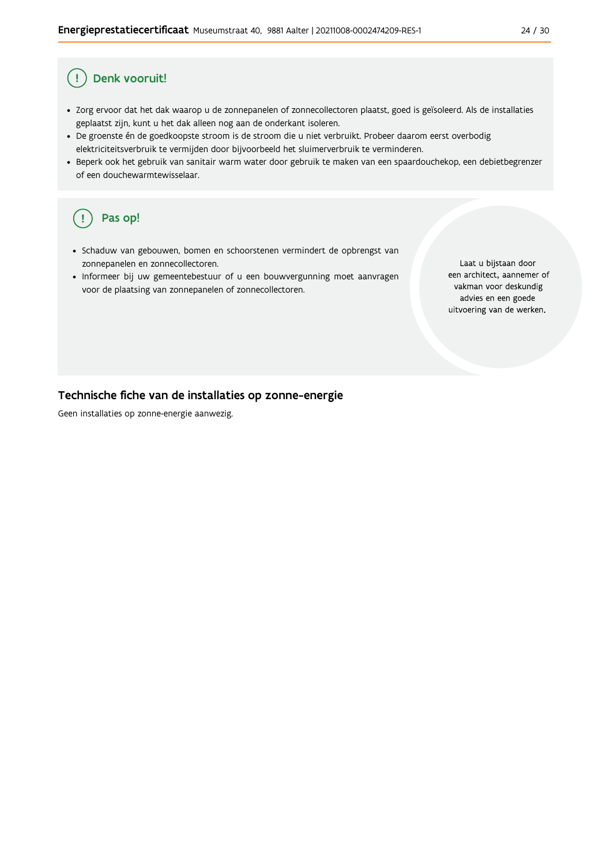#### Denk vooruit! Ţ

- · Zorg ervoor dat het dak waarop u de zonnepanelen of zonnecollectoren plaatst, goed is geïsoleerd. Als de installaties geplaatst zijn, kunt u het dak alleen nog aan de onderkant isoleren.
- · De groenste én de goedkoopste stroom is de stroom die u niet verbruikt. Probeer daarom eerst overbodig elektriciteitsverbruik te vermijden door bijvoorbeeld het sluimerverbruik te verminderen.
- · Beperk ook het gebruik van sanitair warm water door gebruik te maken van een spaardouchekop, een debietbegrenzer of een douchewarmtewisselaar.

#### Pas op! ( !

- · Schaduw van gebouwen, bomen en schoorstenen vermindert de opbrengst van zonnepanelen en zonnecollectoren.
- Informeer bij uw gemeentebestuur of u een bouwvergunning moet aanvragen voor de plaatsing van zonnepanelen of zonnecollectoren.

Laat u bijstaan door een architect, aannemer of vakman voor deskundig advies en een goede uitvoering van de werken.

#### Technische fiche van de installaties op zonne-energie

Geen installaties op zonne-energie aanwezig.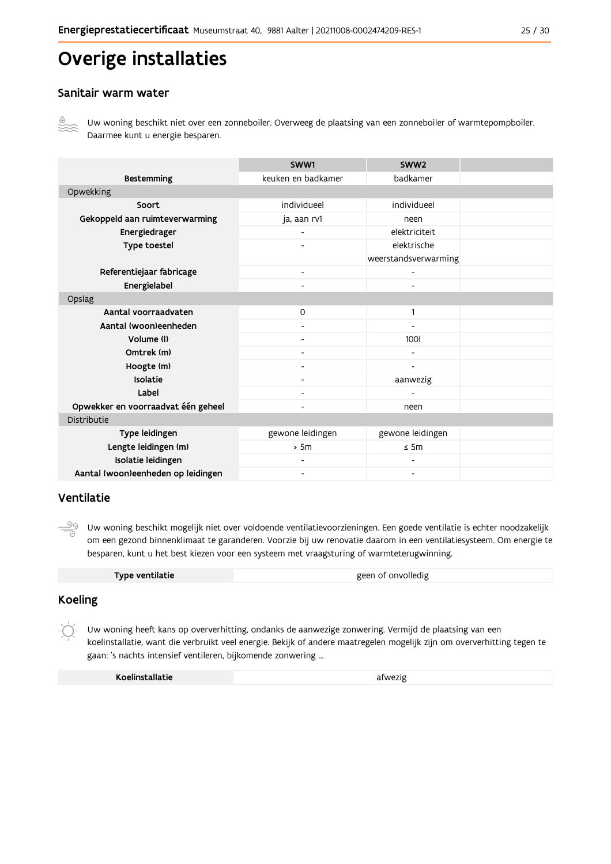# Overige installaties

#### Sanitair warm water



Uw woning beschikt niet over een zonneboiler. Overweeg de plaatsing van een zonneboiler of warmtepompboiler. Daarmee kunt u energie besparen.

|                                    | SWW1                     | SWW <sub>2</sub>             |  |
|------------------------------------|--------------------------|------------------------------|--|
| <b>Bestemming</b>                  | keuken en badkamer       | badkamer                     |  |
| Opwekking                          |                          |                              |  |
| Soort                              | individueel              | individueel                  |  |
| Gekoppeld aan ruimteverwarming     | ja, aan rv1              | neen                         |  |
| Energiedrager                      |                          | elektriciteit                |  |
| Type toestel                       |                          | elektrische                  |  |
|                                    |                          | weerstandsverwarming         |  |
| Referentiejaar fabricage           | $\overline{\phantom{a}}$ | $\qquad \qquad \blacksquare$ |  |
| Energielabel                       |                          |                              |  |
| Opslag                             |                          |                              |  |
| Aantal voorraadvaten               | $\Omega$                 | 1                            |  |
| Aantal (woon)eenheden              | $\overline{\phantom{a}}$ | $\qquad \qquad \blacksquare$ |  |
| Volume (I)                         |                          | <b>100l</b>                  |  |
| Omtrek (m)                         |                          |                              |  |
| Hoogte (m)                         |                          |                              |  |
| <b>Isolatie</b>                    |                          | aanwezig                     |  |
| Label                              |                          |                              |  |
| Opwekker en voorraadvat één geheel |                          | neen                         |  |
| Distributie                        |                          |                              |  |
| Type leidingen                     | gewone leidingen         | gewone leidingen             |  |
| Lengte leidingen (m)               | > 5m                     | $\leq$ 5m                    |  |
| Isolatie leidingen                 |                          |                              |  |
| Aantal (woon)eenheden op leidingen |                          |                              |  |

#### Ventilatie

 $\frac{50}{10}$ Uw woning beschikt mogelijk niet over voldoende ventilatievoorzieningen. Een goede ventilatie is echter noodzakelijk om een gezond binnenklimaat te garanderen. Voorzie bij uw renovatie daarom in een ventilatiesysteem. Om energie te besparen, kunt u het best kiezen voor een systeem met vraagsturing of warmteterugwinning.

| Type ventilatie |
|-----------------|
|                 |

### **Koeling**

Uw woning heeft kans op oververhitting, ondanks de aanwezige zonwering. Vermijd de plaatsing van een koelinstallatie, want die verbruikt veel energie. Bekijk of andere maatregelen mogelijk zijn om oververhitting tegen te gaan: 's nachts intensief ventileren, bijkomende zonwering ...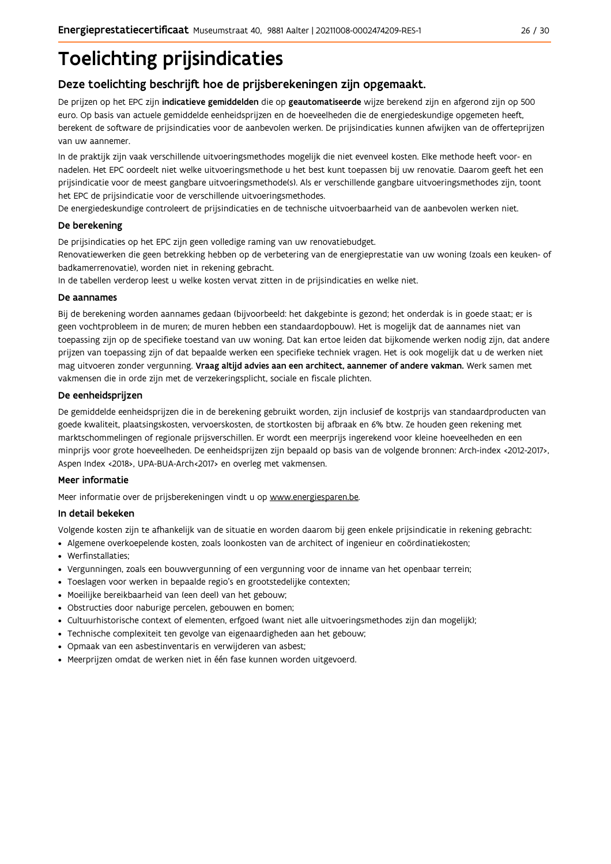# **Toelichting prijsindicaties**

### Deze toelichting beschrijft hoe de prijsberekeningen zijn opgemaakt.

De prijzen op het EPC zijn indicatieve gemiddelden die op geautomatiseerde wijze berekend zijn en afgerond zijn op 500 euro. Op basis van actuele gemiddelde eenheidsprijzen en de hoeveelheden die de energiedeskundige opgemeten heeft, berekent de software de prijsindicaties voor de aanbevolen werken. De prijsindicaties kunnen afwijken van de offerteprijzen van uw aannemer.

In de praktijk zijn vaak verschillende uitvoeringsmethodes mogelijk die niet evenveel kosten. Elke methode heeft voor- en nadelen. Het EPC oordeelt niet welke uitvoeringsmethode u het best kunt toepassen bij uw renovatie. Daarom geeft het een prijsindicatie voor de meest gangbare uitvoeringsmethode(s). Als er verschillende gangbare uitvoeringsmethodes zijn, toont het EPC de prijsindicatie voor de verschillende uitvoeringsmethodes.

De energiedeskundige controleert de prijsindicaties en de technische uitvoerbaarheid van de aanbevolen werken niet.

#### De berekening

De prijsindicaties op het EPC zijn geen volledige raming van uw renovatiebudget.

Renovatiewerken die geen betrekking hebben op de verbetering van de energieprestatie van uw woning (zoals een keuken- of badkamerrenovatie), worden niet in rekening gebracht.

In de tabellen verderop leest u welke kosten vervat zitten in de prijsindicaties en welke niet.

#### De aannames

Bij de berekening worden aannames gedaan (bijvoorbeeld: het dakgebinte is gezond; het onderdak is in goede staat; er is geen vochtprobleem in de muren; de muren hebben een standaardopbouw). Het is mogelijk dat de aannames niet van toepassing zijn op de specifieke toestand van uw woning. Dat kan ertoe leiden dat bijkomende werken nodig zijn, dat andere prijzen van toepassing zijn of dat bepaalde werken een specifieke techniek vragen. Het is ook mogelijk dat u de werken niet mag uitvoeren zonder vergunning. Vraag altijd advies aan een architect, aannemer of andere vakman. Werk samen met vakmensen die in orde zijn met de verzekeringsplicht, sociale en fiscale plichten.

#### De eenheidsprijzen

De gemiddelde eenheidspriizen die in de berekening gebruikt worden, zijn inclusief de kostpriis van standaardproducten van goede kwaliteit, plaatsingskosten, vervoerskosten, de stortkosten bij afbraak en 6% btw. Ze houden geen rekening met marktschommelingen of regionale prijsverschillen. Er wordt een meerprijs ingerekend voor kleine hoeveelheden en een minprijs voor grote hoeveelheden. De eenheidsprijzen zijn bepaald op basis van de volgende bronnen: Arch-index <2012-2017>, Aspen Index <2018>, UPA-BUA-Arch<2017> en overleg met vakmensen.

#### Meer informatie

Meer informatie over de prijsberekeningen vindt u op www.energiesparen.be.

#### In detail bekeken

Volgende kosten zijn te afhankelijk van de situatie en worden daarom bij geen enkele prijsindicatie in rekening gebracht:

- Algemene overkoepelende kosten, zoals loonkosten van de architect of ingenieur en coördinatiekosten;
- Werfinstallaties:
- · Vergunningen, zoals een bouwvergunning of een vergunning voor de inname van het openbaar terrein;
- Toeslagen voor werken in bepaalde regio's en grootstedelijke contexten:
- · Moeilijke bereikbaarheid van (een deel) van het gebouw;
- · Obstructies door naburige percelen, gebouwen en bomen;
- · Cultuurhistorische context of elementen, erfgoed (want niet alle uitvoeringsmethodes zijn dan mogelijk);
- · Technische complexiteit ten gevolge van eigenaardigheden aan het gebouw;
- · Opmaak van een asbestinventaris en verwijderen van asbest;
- · Meerprijzen omdat de werken niet in één fase kunnen worden uitgevoerd.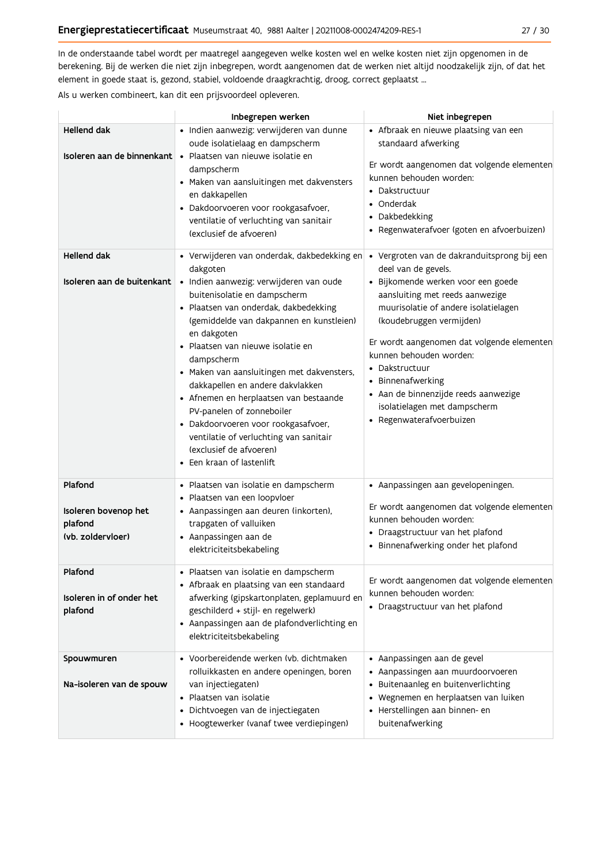In de onderstaande tabel wordt per maatregel aangegeven welke kosten wel en welke kosten niet zijn opgenomen in de berekening. Bij de werken die niet zijn inbegrepen, wordt aangenomen dat de werken niet altijd noodzakelijk zijn, of dat het element in goede staat is, gezond, stabiel, voldoende draagkrachtig, droog, correct geplaatst ...

Als u werken combineert, kan dit een prijsvoordeel opleveren.

|                                                                 | Inbegrepen werken                                                                                                                                                                                                                                                                                                                                                                                                                                                                                                                                                                           | Niet inbegrepen                                                                                                                                                                                                                                                                                                                                                                                                                     |
|-----------------------------------------------------------------|---------------------------------------------------------------------------------------------------------------------------------------------------------------------------------------------------------------------------------------------------------------------------------------------------------------------------------------------------------------------------------------------------------------------------------------------------------------------------------------------------------------------------------------------------------------------------------------------|-------------------------------------------------------------------------------------------------------------------------------------------------------------------------------------------------------------------------------------------------------------------------------------------------------------------------------------------------------------------------------------------------------------------------------------|
| <b>Hellend dak</b>                                              | · Indien aanwezig: verwijderen van dunne<br>oude isolatielaag en dampscherm<br><b>Isoleren aan de binnenkant   •</b> Plaatsen van nieuwe isolatie en<br>dampscherm<br>· Maken van aansluitingen met dakvensters<br>en dakkapellen<br>· Dakdoorvoeren voor rookgasafvoer,<br>ventilatie of verluchting van sanitair<br>(exclusief de afvoeren)                                                                                                                                                                                                                                               | • Afbraak en nieuwe plaatsing van een<br>standaard afwerking<br>Er wordt aangenomen dat volgende elementen<br>kunnen behouden worden:<br>• Dakstructuur<br>• Onderdak<br>• Dakbedekking<br>• Regenwaterafvoer (goten en afvoerbuizen)                                                                                                                                                                                               |
| <b>Hellend dak</b><br>Isoleren aan de buitenkant                | • Verwijderen van onderdak, dakbedekking en<br>dakgoten<br>· Indien aanwezig: verwijderen van oude<br>buitenisolatie en dampscherm<br>· Plaatsen van onderdak, dakbedekking<br>(gemiddelde van dakpannen en kunstleien)<br>en dakgoten<br>· Plaatsen van nieuwe isolatie en<br>dampscherm<br>· Maken van aansluitingen met dakvensters,<br>dakkapellen en andere dakvlakken<br>• Afnemen en herplaatsen van bestaande<br>PV-panelen of zonneboiler<br>· Dakdoorvoeren voor rookgasafvoer,<br>ventilatie of verluchting van sanitair<br>(exclusief de afvoeren)<br>• Een kraan of lastenlift | · Vergroten van de dakranduitsprong bij een<br>deel van de gevels.<br>· Bijkomende werken voor een goede<br>aansluiting met reeds aanwezige<br>muurisolatie of andere isolatielagen<br>(koudebruggen vermijden)<br>Er wordt aangenomen dat volgende elementen<br>kunnen behouden worden:<br>• Dakstructuur<br>• Binnenafwerking<br>· Aan de binnenzijde reeds aanwezige<br>isolatielagen met dampscherm<br>• Regenwaterafvoerbuizen |
| Plafond<br>Isoleren bovenop het<br>plafond<br>(vb. zoldervloer) | · Plaatsen van isolatie en dampscherm<br>· Plaatsen van een loopvloer<br>• Aanpassingen aan deuren (inkorten),<br>trapgaten of valluiken<br>• Aanpassingen aan de<br>elektriciteitsbekabeling                                                                                                                                                                                                                                                                                                                                                                                               | • Aanpassingen aan gevelopeningen.<br>Er wordt aangenomen dat volgende elementen<br>kunnen behouden worden:<br>• Draagstructuur van het plafond<br>• Binnenafwerking onder het plafond                                                                                                                                                                                                                                              |
| Plafond<br>Isoleren in of onder het<br>plafond                  | · Plaatsen van isolatie en dampscherm<br>• Afbraak en plaatsing van een standaard<br>afwerking (gipskartonplaten, geplamuurd en<br>geschilderd + stijl- en regelwerk)<br>• Aanpassingen aan de plafondverlichting en<br>elektriciteitsbekabeling                                                                                                                                                                                                                                                                                                                                            | Er wordt aangenomen dat volgende elementen<br>kunnen behouden worden:<br>• Draagstructuur van het plafond                                                                                                                                                                                                                                                                                                                           |
| Spouwmuren<br>Na-isoleren van de spouw                          | • Voorbereidende werken (vb. dichtmaken<br>rolluikkasten en andere openingen, boren<br>van injectiegaten)<br>· Plaatsen van isolatie<br>· Dichtvoegen van de injectiegaten<br>• Hoogtewerker (vanaf twee verdiepingen)                                                                                                                                                                                                                                                                                                                                                                      | • Aanpassingen aan de gevel<br>• Aanpassingen aan muurdoorvoeren<br>• Buitenaanleg en buitenverlichting<br>• Wegnemen en herplaatsen van luiken<br>· Herstellingen aan binnen- en<br>buitenafwerking                                                                                                                                                                                                                                |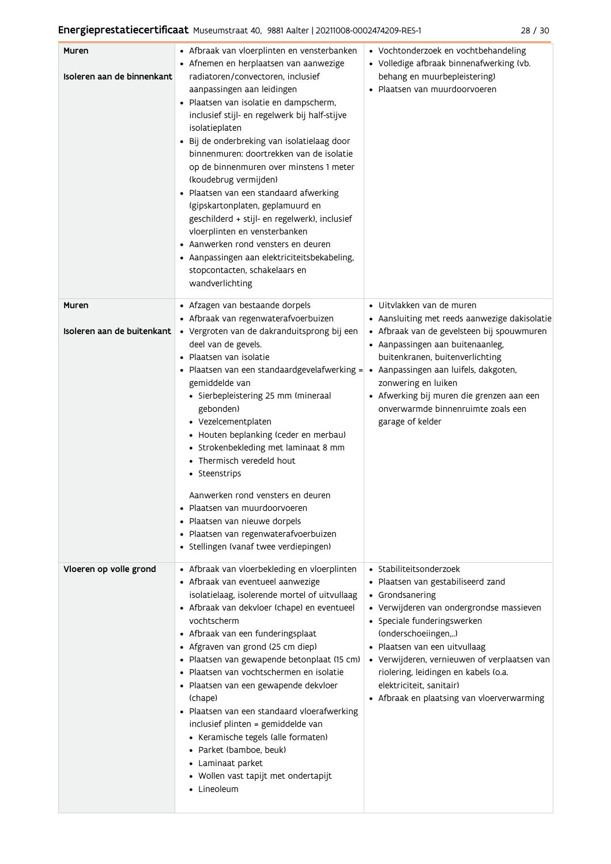| Muren<br>Isoleren aan de binnenkant | • Afbraak van vloerplinten en vensterbanken<br>• Afnemen en herplaatsen van aanwezige<br>radiatoren/convectoren, inclusief<br>aanpassingen aan leidingen<br>· Plaatsen van isolatie en dampscherm,<br>inclusief stijl- en regelwerk bij half-stijve<br>isolatieplaten<br>Bij de onderbreking van isolatielaag door<br>binnenmuren: doortrekken van de isolatie<br>op de binnenmuren over minstens 1 meter<br>(koudebrug vermijden)<br>· Plaatsen van een standaard afwerking<br>(gipskartonplaten, geplamuurd en<br>geschilderd + stijl- en regelwerk), inclusief<br>vloerplinten en vensterbanken<br>• Aanwerken rond vensters en deuren<br>• Aanpassingen aan elektriciteitsbekabeling,<br>stopcontacten, schakelaars en<br>wandverlichting | • Vochtonderzoek en vochtbehandeling<br>• Volledige afbraak binnenafwerking (vb.<br>behang en muurbepleistering)<br>· Plaatsen van muurdoorvoeren                                                                                                                                                                                                                                     |
|-------------------------------------|-----------------------------------------------------------------------------------------------------------------------------------------------------------------------------------------------------------------------------------------------------------------------------------------------------------------------------------------------------------------------------------------------------------------------------------------------------------------------------------------------------------------------------------------------------------------------------------------------------------------------------------------------------------------------------------------------------------------------------------------------|---------------------------------------------------------------------------------------------------------------------------------------------------------------------------------------------------------------------------------------------------------------------------------------------------------------------------------------------------------------------------------------|
| Muren<br>Isoleren aan de buitenkant | • Afzagen van bestaande dorpels<br>• Afbraak van regenwaterafvoerbuizen<br>· Vergroten van de dakranduitsprong bij een<br>deel van de gevels.                                                                                                                                                                                                                                                                                                                                                                                                                                                                                                                                                                                                 | · Uitvlakken van de muren<br>• Aansluiting met reeds aanwezige dakisolatie<br>· Afbraak van de gevelsteen bij spouwmuren<br>• Aanpassingen aan buitenaanleg,                                                                                                                                                                                                                          |
|                                     | Plaatsen van isolatie<br>Plaatsen van een standaardgevelafwerking =<br>gemiddelde van<br>• Sierbepleistering 25 mm (mineraal<br>gebonden)<br>• Vezelcementplaten<br>• Houten beplanking (ceder en merbau)<br>• Strokenbekleding met laminaat 8 mm<br>• Thermisch veredeld hout<br>• Steenstrips<br>Aanwerken rond vensters en deuren<br>Plaatsen van muurdoorvoeren<br>• Plaatsen van nieuwe dorpels<br>· Plaatsen van regenwaterafvoerbuizen<br>· Stellingen (vanaf twee verdiepingen)                                                                                                                                                                                                                                                       | buitenkranen, buitenverlichting<br>• Aanpassingen aan luifels, dakgoten,<br>zonwering en luiken<br>• Afwerking bij muren die grenzen aan een<br>onverwarmde binnenruimte zoals een<br>garage of kelder                                                                                                                                                                                |
| Vloeren op volle grond              | • Afbraak van vloerbekleding en vloerplinten<br>• Afbraak van eventueel aanwezige<br>isolatielaag, isolerende mortel of uitvullaag<br>• Afbraak van dekvloer (chape) en eventueel<br>vochtscherm<br>• Afbraak van een funderingsplaat<br>• Afgraven van grond (25 cm diep)<br>· Plaatsen van gewapende betonplaat (15 cm)<br>Plaatsen van vochtschermen en isolatie<br>$\bullet$<br>• Plaatsen van een gewapende dekvloer<br>(chape)<br>• Plaatsen van een standaard vloerafwerking<br>inclusief plinten = gemiddelde van<br>• Keramische tegels (alle formaten)<br>• Parket (bamboe, beuk)<br>• Laminaat parket<br>• Wollen vast tapijt met ondertapijt<br>• Lineoleum                                                                       | • Stabiliteitsonderzoek<br>· Plaatsen van gestabiliseerd zand<br>• Grondsanering<br>• Verwijderen van ondergrondse massieven<br>• Speciale funderingswerken<br>(onderschoeiingen,)<br>· Plaatsen van een uitvullaag<br>• Verwijderen, vernieuwen of verplaatsen van<br>riolering, leidingen en kabels (o.a.<br>elektriciteit, sanitair)<br>• Afbraak en plaatsing van vloerverwarming |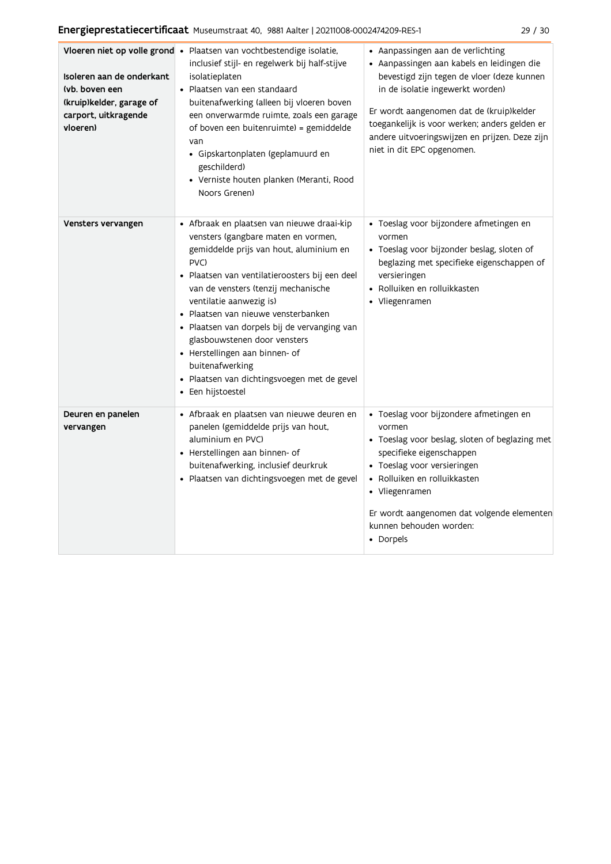| Isoleren aan de onderkant<br>(vb. boven een<br>(kruip)kelder, garage of<br>carport, uitkragende<br>vloeren) | Vloeren niet op volle grond · Plaatsen van vochtbestendige isolatie,<br>inclusief stijl- en regelwerk bij half-stijve<br>isolatieplaten<br>• Plaatsen van een standaard<br>buitenafwerking (alleen bij vloeren boven<br>een onverwarmde ruimte, zoals een garage<br>of boven een buitenruimte) = gemiddelde<br>van<br>· Gipskartonplaten (geplamuurd en<br>geschilderd)<br>• Verniste houten planken (Meranti, Rood<br>Noors Grenen)                                                                     | • Aanpassingen aan de verlichting<br>· Aanpassingen aan kabels en leidingen die<br>bevestigd zijn tegen de vloer (deze kunnen<br>in de isolatie ingewerkt worden)<br>Er wordt aangenomen dat de (kruip)kelder<br>toegankelijk is voor werken; anders gelden er<br>andere uitvoeringswijzen en prijzen. Deze zijn<br>niet in dit EPC opgenomen. |
|-------------------------------------------------------------------------------------------------------------|----------------------------------------------------------------------------------------------------------------------------------------------------------------------------------------------------------------------------------------------------------------------------------------------------------------------------------------------------------------------------------------------------------------------------------------------------------------------------------------------------------|------------------------------------------------------------------------------------------------------------------------------------------------------------------------------------------------------------------------------------------------------------------------------------------------------------------------------------------------|
| Vensters vervangen                                                                                          | · Afbraak en plaatsen van nieuwe draai-kip<br>vensters (gangbare maten en vormen,<br>gemiddelde prijs van hout, aluminium en<br>PVC)<br>· Plaatsen van ventilatieroosters bij een deel<br>van de vensters (tenzij mechanische<br>ventilatie aanwezig is)<br>· Plaatsen van nieuwe vensterbanken<br>· Plaatsen van dorpels bij de vervanging van<br>glasbouwstenen door vensters<br>• Herstellingen aan binnen- of<br>buitenafwerking<br>· Plaatsen van dichtingsvoegen met de gevel<br>• Een hijstoestel | · Toeslag voor bijzondere afmetingen en<br>vormen<br>· Toeslag voor bijzonder beslag, sloten of<br>beglazing met specifieke eigenschappen of<br>versieringen<br>• Rolluiken en rolluikkasten<br>• Vliegenramen                                                                                                                                 |
| Deuren en panelen<br>vervangen                                                                              | • Afbraak en plaatsen van nieuwe deuren en<br>panelen (gemiddelde prijs van hout,<br>aluminium en PVC)<br>• Herstellingen aan binnen- of<br>buitenafwerking, inclusief deurkruk<br>· Plaatsen van dichtingsvoegen met de gevel                                                                                                                                                                                                                                                                           | · Toeslag voor bijzondere afmetingen en<br>vormen<br>• Toeslag voor beslag, sloten of beglazing met<br>specifieke eigenschappen<br>• Toeslag voor versieringen<br>• Rolluiken en rolluikkasten<br>• Vliegenramen<br>Er wordt aangenomen dat volgende elementen<br>kunnen behouden worden:<br>• Dorpels                                         |